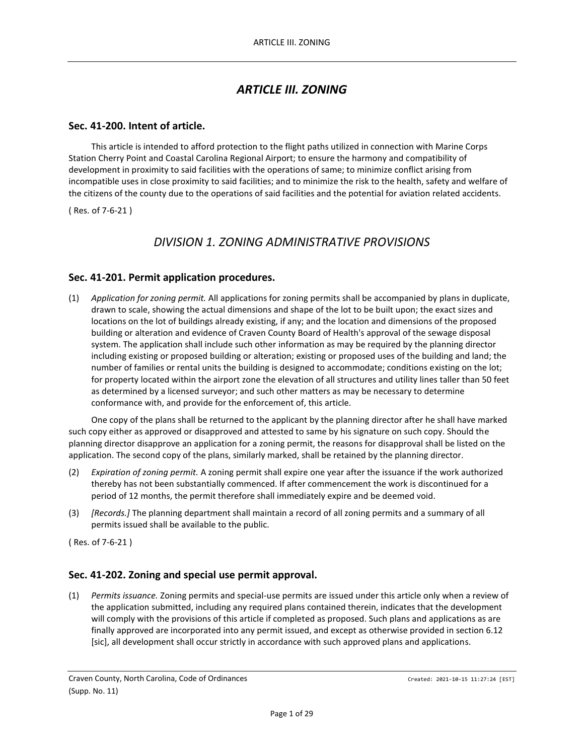# *ARTICLE III. ZONING*

## **Sec. 41-200. Intent of article.**

This article is intended to afford protection to the flight paths utilized in connection with Marine Corps Station Cherry Point and Coastal Carolina Regional Airport; to ensure the harmony and compatibility of development in proximity to said facilities with the operations of same; to minimize conflict arising from incompatible uses in close proximity to said facilities; and to minimize the risk to the health, safety and welfare of the citizens of the county due to the operations of said facilities and the potential for aviation related accidents.

( Res. of 7-6-21 )

# *DIVISION 1. ZONING ADMINISTRATIVE PROVISIONS*

## **Sec. 41-201. Permit application procedures.**

(1) *Application for zoning permit.* All applications for zoning permits shall be accompanied by plans in duplicate, drawn to scale, showing the actual dimensions and shape of the lot to be built upon; the exact sizes and locations on the lot of buildings already existing, if any; and the location and dimensions of the proposed building or alteration and evidence of Craven County Board of Health's approval of the sewage disposal system. The application shall include such other information as may be required by the planning director including existing or proposed building or alteration; existing or proposed uses of the building and land; the number of families or rental units the building is designed to accommodate; conditions existing on the lot; for property located within the airport zone the elevation of all structures and utility lines taller than 50 feet as determined by a licensed surveyor; and such other matters as may be necessary to determine conformance with, and provide for the enforcement of, this article.

One copy of the plans shall be returned to the applicant by the planning director after he shall have marked such copy either as approved or disapproved and attested to same by his signature on such copy. Should the planning director disapprove an application for a zoning permit, the reasons for disapproval shall be listed on the application. The second copy of the plans, similarly marked, shall be retained by the planning director.

- (2) *Expiration of zoning permit.* A zoning permit shall expire one year after the issuance if the work authorized thereby has not been substantially commenced. If after commencement the work is discontinued for a period of 12 months, the permit therefore shall immediately expire and be deemed void.
- (3) *[Records.]* The planning department shall maintain a record of all zoning permits and a summary of all permits issued shall be available to the public.

( Res. of 7-6-21 )

## **Sec. 41-202. Zoning and special use permit approval.**

(1) *Permits issuance.* Zoning permits and special-use permits are issued under this article only when a review of the application submitted, including any required plans contained therein, indicates that the development will comply with the provisions of this article if completed as proposed. Such plans and applications as are finally approved are incorporated into any permit issued, and except as otherwise provided in section 6.12 [sic], all development shall occur strictly in accordance with such approved plans and applications.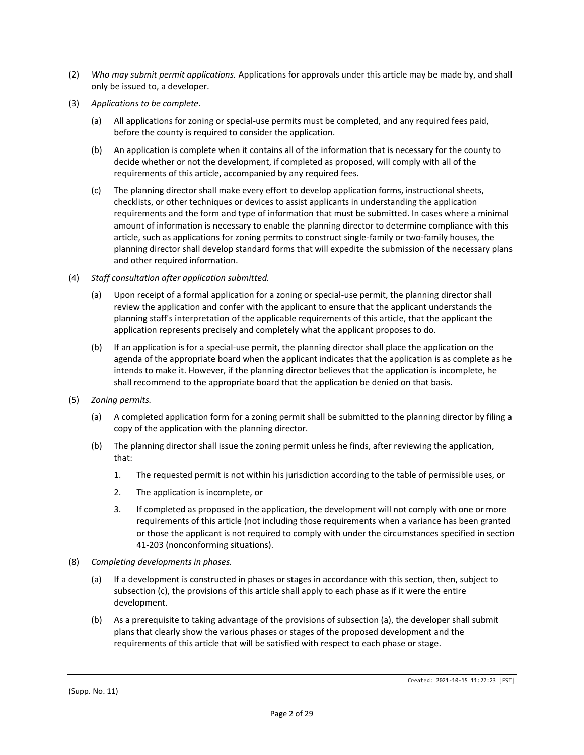- (2) *Who may submit permit applications.* Applications for approvals under this article may be made by, and shall only be issued to, a developer.
- (3) *Applications to be complete.*
	- (a) All applications for zoning or special-use permits must be completed, and any required fees paid, before the county is required to consider the application.
	- (b) An application is complete when it contains all of the information that is necessary for the county to decide whether or not the development, if completed as proposed, will comply with all of the requirements of this article, accompanied by any required fees.
	- (c) The planning director shall make every effort to develop application forms, instructional sheets, checklists, or other techniques or devices to assist applicants in understanding the application requirements and the form and type of information that must be submitted. In cases where a minimal amount of information is necessary to enable the planning director to determine compliance with this article, such as applications for zoning permits to construct single-family or two-family houses, the planning director shall develop standard forms that will expedite the submission of the necessary plans and other required information.
- (4) *Staff consultation after application submitted.*
	- (a) Upon receipt of a formal application for a zoning or special-use permit, the planning director shall review the application and confer with the applicant to ensure that the applicant understands the planning staff's interpretation of the applicable requirements of this article, that the applicant the application represents precisely and completely what the applicant proposes to do.
	- (b) If an application is for a special-use permit, the planning director shall place the application on the agenda of the appropriate board when the applicant indicates that the application is as complete as he intends to make it. However, if the planning director believes that the application is incomplete, he shall recommend to the appropriate board that the application be denied on that basis.
- (5) *Zoning permits.*
	- (a) A completed application form for a zoning permit shall be submitted to the planning director by filing a copy of the application with the planning director.
	- (b) The planning director shall issue the zoning permit unless he finds, after reviewing the application, that:
		- 1. The requested permit is not within his jurisdiction according to the table of permissible uses, or
		- 2. The application is incomplete, or
		- 3. If completed as proposed in the application, the development will not comply with one or more requirements of this article (not including those requirements when a variance has been granted or those the applicant is not required to comply with under the circumstances specified in section 41-203 (nonconforming situations).
- (8) *Completing developments in phases.*
	- (a) If a development is constructed in phases or stages in accordance with this section, then, subject to subsection (c), the provisions of this article shall apply to each phase as if it were the entire development.
	- (b) As a prerequisite to taking advantage of the provisions of subsection (a), the developer shall submit plans that clearly show the various phases or stages of the proposed development and the requirements of this article that will be satisfied with respect to each phase or stage.

(Supp. No. 11)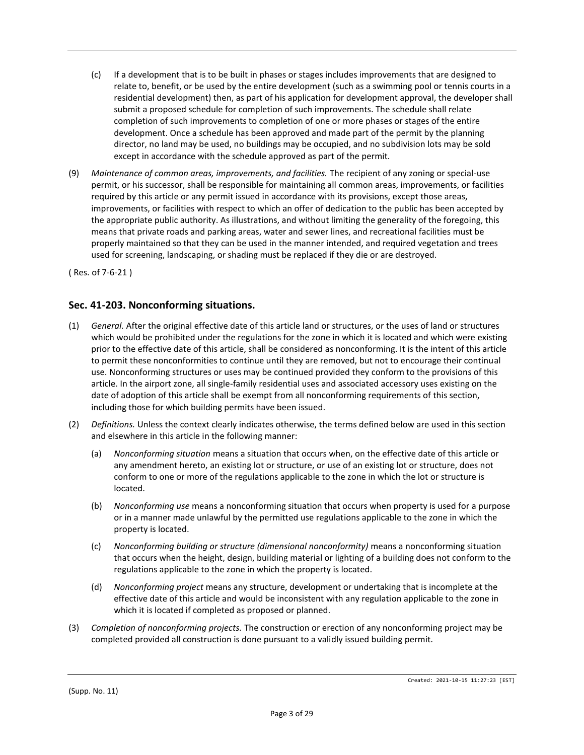- (c) If a development that is to be built in phases or stages includes improvements that are designed to relate to, benefit, or be used by the entire development (such as a swimming pool or tennis courts in a residential development) then, as part of his application for development approval, the developer shall submit a proposed schedule for completion of such improvements. The schedule shall relate completion of such improvements to completion of one or more phases or stages of the entire development. Once a schedule has been approved and made part of the permit by the planning director, no land may be used, no buildings may be occupied, and no subdivision lots may be sold except in accordance with the schedule approved as part of the permit.
- (9) *Maintenance of common areas, improvements, and facilities.* The recipient of any zoning or special-use permit, or his successor, shall be responsible for maintaining all common areas, improvements, or facilities required by this article or any permit issued in accordance with its provisions, except those areas, improvements, or facilities with respect to which an offer of dedication to the public has been accepted by the appropriate public authority. As illustrations, and without limiting the generality of the foregoing, this means that private roads and parking areas, water and sewer lines, and recreational facilities must be properly maintained so that they can be used in the manner intended, and required vegetation and trees used for screening, landscaping, or shading must be replaced if they die or are destroyed.

( Res. of 7-6-21 )

## **Sec. 41-203. Nonconforming situations.**

- (1) *General.* After the original effective date of this article land or structures, or the uses of land or structures which would be prohibited under the regulations for the zone in which it is located and which were existing prior to the effective date of this article, shall be considered as nonconforming. It is the intent of this article to permit these nonconformities to continue until they are removed, but not to encourage their continual use. Nonconforming structures or uses may be continued provided they conform to the provisions of this article. In the airport zone, all single-family residential uses and associated accessory uses existing on the date of adoption of this article shall be exempt from all nonconforming requirements of this section, including those for which building permits have been issued.
- (2) *Definitions.* Unless the context clearly indicates otherwise, the terms defined below are used in this section and elsewhere in this article in the following manner:
	- (a) *Nonconforming situation* means a situation that occurs when, on the effective date of this article or any amendment hereto, an existing lot or structure, or use of an existing lot or structure, does not conform to one or more of the regulations applicable to the zone in which the lot or structure is located.
	- (b) *Nonconforming use* means a nonconforming situation that occurs when property is used for a purpose or in a manner made unlawful by the permitted use regulations applicable to the zone in which the property is located.
	- (c) *Nonconforming building or structure (dimensional nonconformity)* means a nonconforming situation that occurs when the height, design, building material or lighting of a building does not conform to the regulations applicable to the zone in which the property is located.
	- (d) *Nonconforming project* means any structure, development or undertaking that is incomplete at the effective date of this article and would be inconsistent with any regulation applicable to the zone in which it is located if completed as proposed or planned.
- (3) *Completion of nonconforming projects.* The construction or erection of any nonconforming project may be completed provided all construction is done pursuant to a validly issued building permit.

(Supp. No. 11)

Created: 2021-10-15 11:27:23 [EST]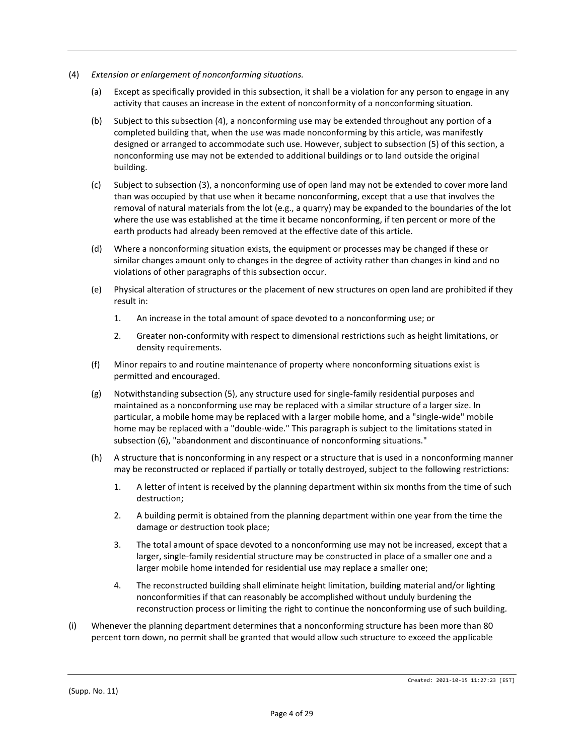- (4) *Extension or enlargement of nonconforming situations.*
	- (a) Except as specifically provided in this subsection, it shall be a violation for any person to engage in any activity that causes an increase in the extent of nonconformity of a nonconforming situation.
	- (b) Subject to this subsection (4), a nonconforming use may be extended throughout any portion of a completed building that, when the use was made nonconforming by this article, was manifestly designed or arranged to accommodate such use. However, subject to subsection (5) of this section, a nonconforming use may not be extended to additional buildings or to land outside the original building.
	- (c) Subject to subsection (3), a nonconforming use of open land may not be extended to cover more land than was occupied by that use when it became nonconforming, except that a use that involves the removal of natural materials from the lot (e.g., a quarry) may be expanded to the boundaries of the lot where the use was established at the time it became nonconforming, if ten percent or more of the earth products had already been removed at the effective date of this article.
	- (d) Where a nonconforming situation exists, the equipment or processes may be changed if these or similar changes amount only to changes in the degree of activity rather than changes in kind and no violations of other paragraphs of this subsection occur.
	- (e) Physical alteration of structures or the placement of new structures on open land are prohibited if they result in:
		- 1. An increase in the total amount of space devoted to a nonconforming use; or
		- 2. Greater non-conformity with respect to dimensional restrictions such as height limitations, or density requirements.
	- (f) Minor repairs to and routine maintenance of property where nonconforming situations exist is permitted and encouraged.
	- (g) Notwithstanding subsection (5), any structure used for single-family residential purposes and maintained as a nonconforming use may be replaced with a similar structure of a larger size. In particular, a mobile home may be replaced with a larger mobile home, and a "single-wide" mobile home may be replaced with a "double-wide." This paragraph is subject to the limitations stated in subsection (6), "abandonment and discontinuance of nonconforming situations."
	- (h) A structure that is nonconforming in any respect or a structure that is used in a nonconforming manner may be reconstructed or replaced if partially or totally destroyed, subject to the following restrictions:
		- 1. A letter of intent is received by the planning department within six months from the time of such destruction;
		- 2. A building permit is obtained from the planning department within one year from the time the damage or destruction took place;
		- 3. The total amount of space devoted to a nonconforming use may not be increased, except that a larger, single-family residential structure may be constructed in place of a smaller one and a larger mobile home intended for residential use may replace a smaller one;
		- 4. The reconstructed building shall eliminate height limitation, building material and/or lighting nonconformities if that can reasonably be accomplished without unduly burdening the reconstruction process or limiting the right to continue the nonconforming use of such building.
- (i) Whenever the planning department determines that a nonconforming structure has been more than 80 percent torn down, no permit shall be granted that would allow such structure to exceed the applicable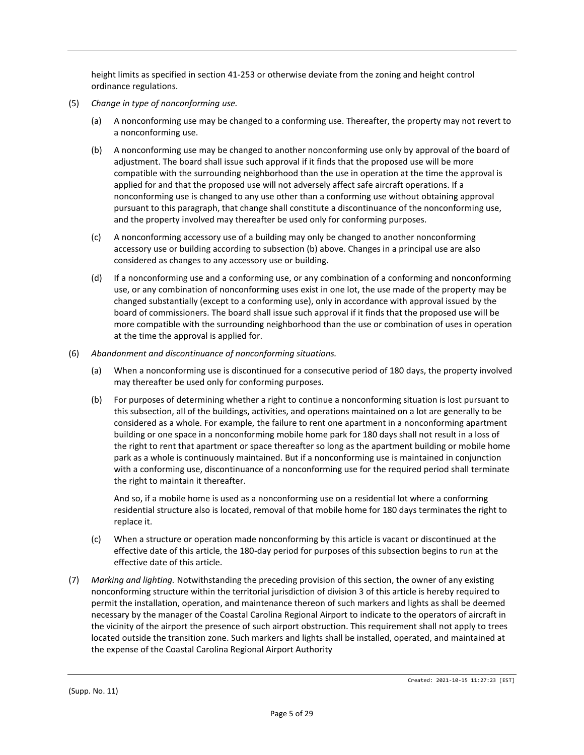height limits as specified in section 41-253 or otherwise deviate from the zoning and height control ordinance regulations.

- (5) *Change in type of nonconforming use.*
	- (a) A nonconforming use may be changed to a conforming use. Thereafter, the property may not revert to a nonconforming use.
	- (b) A nonconforming use may be changed to another nonconforming use only by approval of the board of adjustment. The board shall issue such approval if it finds that the proposed use will be more compatible with the surrounding neighborhood than the use in operation at the time the approval is applied for and that the proposed use will not adversely affect safe aircraft operations. If a nonconforming use is changed to any use other than a conforming use without obtaining approval pursuant to this paragraph, that change shall constitute a discontinuance of the nonconforming use, and the property involved may thereafter be used only for conforming purposes.
	- (c) A nonconforming accessory use of a building may only be changed to another nonconforming accessory use or building according to subsection (b) above. Changes in a principal use are also considered as changes to any accessory use or building.
	- (d) If a nonconforming use and a conforming use, or any combination of a conforming and nonconforming use, or any combination of nonconforming uses exist in one lot, the use made of the property may be changed substantially (except to a conforming use), only in accordance with approval issued by the board of commissioners. The board shall issue such approval if it finds that the proposed use will be more compatible with the surrounding neighborhood than the use or combination of uses in operation at the time the approval is applied for.
- (6) *Abandonment and discontinuance of nonconforming situations.*
	- (a) When a nonconforming use is discontinued for a consecutive period of 180 days, the property involved may thereafter be used only for conforming purposes.
	- (b) For purposes of determining whether a right to continue a nonconforming situation is lost pursuant to this subsection, all of the buildings, activities, and operations maintained on a lot are generally to be considered as a whole. For example, the failure to rent one apartment in a nonconforming apartment building or one space in a nonconforming mobile home park for 180 days shall not result in a loss of the right to rent that apartment or space thereafter so long as the apartment building or mobile home park as a whole is continuously maintained. But if a nonconforming use is maintained in conjunction with a conforming use, discontinuance of a nonconforming use for the required period shall terminate the right to maintain it thereafter.

And so, if a mobile home is used as a nonconforming use on a residential lot where a conforming residential structure also is located, removal of that mobile home for 180 days terminates the right to replace it.

- (c) When a structure or operation made nonconforming by this article is vacant or discontinued at the effective date of this article, the 180-day period for purposes of this subsection begins to run at the effective date of this article.
- (7) *Marking and lighting.* Notwithstanding the preceding provision of this section, the owner of any existing nonconforming structure within the territorial jurisdiction of division 3 of this article is hereby required to permit the installation, operation, and maintenance thereon of such markers and lights as shall be deemed necessary by the manager of the Coastal Carolina Regional Airport to indicate to the operators of aircraft in the vicinity of the airport the presence of such airport obstruction. This requirement shall not apply to trees located outside the transition zone. Such markers and lights shall be installed, operated, and maintained at the expense of the Coastal Carolina Regional Airport Authority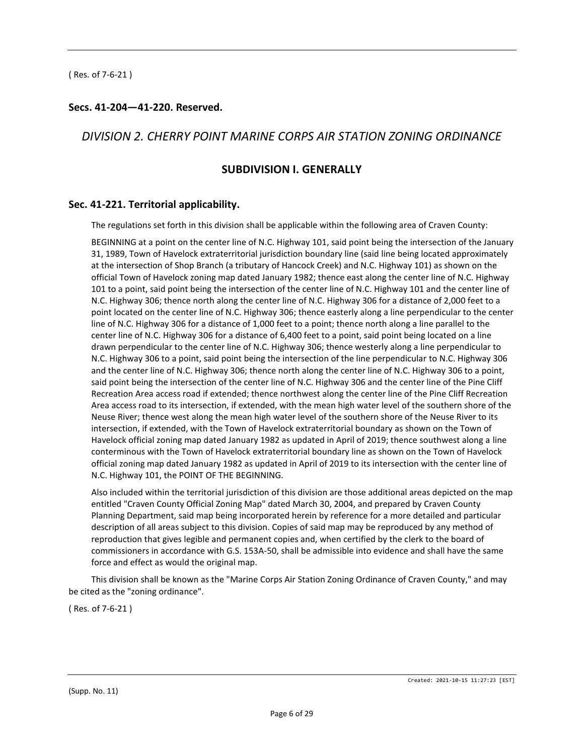## **Secs. 41-204—41-220. Reserved.**

# *DIVISION 2. CHERRY POINT MARINE CORPS AIR STATION ZONING ORDINANCE*

# **SUBDIVISION I. GENERALLY**

#### **Sec. 41-221. Territorial applicability.**

The regulations set forth in this division shall be applicable within the following area of Craven County:

BEGINNING at a point on the center line of N.C. Highway 101, said point being the intersection of the January 31, 1989, Town of Havelock extraterritorial jurisdiction boundary line (said line being located approximately at the intersection of Shop Branch (a tributary of Hancock Creek) and N.C. Highway 101) as shown on the official Town of Havelock zoning map dated January 1982; thence east along the center line of N.C. Highway 101 to a point, said point being the intersection of the center line of N.C. Highway 101 and the center line of N.C. Highway 306; thence north along the center line of N.C. Highway 306 for a distance of 2,000 feet to a point located on the center line of N.C. Highway 306; thence easterly along a line perpendicular to the center line of N.C. Highway 306 for a distance of 1,000 feet to a point; thence north along a line parallel to the center line of N.C. Highway 306 for a distance of 6,400 feet to a point, said point being located on a line drawn perpendicular to the center line of N.C. Highway 306; thence westerly along a line perpendicular to N.C. Highway 306 to a point, said point being the intersection of the line perpendicular to N.C. Highway 306 and the center line of N.C. Highway 306; thence north along the center line of N.C. Highway 306 to a point, said point being the intersection of the center line of N.C. Highway 306 and the center line of the Pine Cliff Recreation Area access road if extended; thence northwest along the center line of the Pine Cliff Recreation Area access road to its intersection, if extended, with the mean high water level of the southern shore of the Neuse River; thence west along the mean high water level of the southern shore of the Neuse River to its intersection, if extended, with the Town of Havelock extraterritorial boundary as shown on the Town of Havelock official zoning map dated January 1982 as updated in April of 2019; thence southwest along a line conterminous with the Town of Havelock extraterritorial boundary line as shown on the Town of Havelock official zoning map dated January 1982 as updated in April of 2019 to its intersection with the center line of N.C. Highway 101, the POINT OF THE BEGINNING.

Also included within the territorial jurisdiction of this division are those additional areas depicted on the map entitled "Craven County Official Zoning Map" dated March 30, 2004, and prepared by Craven County Planning Department, said map being incorporated herein by reference for a more detailed and particular description of all areas subject to this division. Copies of said map may be reproduced by any method of reproduction that gives legible and permanent copies and, when certified by the clerk to the board of commissioners in accordance with G.S. 153A-50, shall be admissible into evidence and shall have the same force and effect as would the original map.

This division shall be known as the "Marine Corps Air Station Zoning Ordinance of Craven County," and may be cited as the "zoning ordinance".

( Res. of 7-6-21 )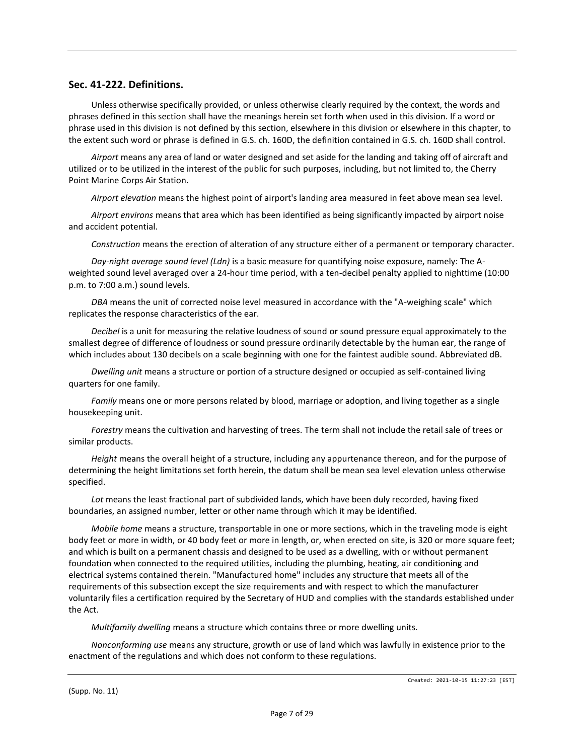#### **Sec. 41-222. Definitions.**

Unless otherwise specifically provided, or unless otherwise clearly required by the context, the words and phrases defined in this section shall have the meanings herein set forth when used in this division. If a word or phrase used in this division is not defined by this section, elsewhere in this division or elsewhere in this chapter, to the extent such word or phrase is defined in G.S. ch. 160D, the definition contained in G.S. ch. 160D shall control.

*Airport* means any area of land or water designed and set aside for the landing and taking off of aircraft and utilized or to be utilized in the interest of the public for such purposes, including, but not limited to, the Cherry Point Marine Corps Air Station.

*Airport elevation* means the highest point of airport's landing area measured in feet above mean sea level.

*Airport environs* means that area which has been identified as being significantly impacted by airport noise and accident potential.

*Construction* means the erection of alteration of any structure either of a permanent or temporary character.

*Day-night average sound level (Ldn)* is a basic measure for quantifying noise exposure, namely: The Aweighted sound level averaged over a 24-hour time period, with a ten-decibel penalty applied to nighttime (10:00 p.m. to 7:00 a.m.) sound levels.

*DBA* means the unit of corrected noise level measured in accordance with the "A-weighing scale" which replicates the response characteristics of the ear.

*Decibel* is a unit for measuring the relative loudness of sound or sound pressure equal approximately to the smallest degree of difference of loudness or sound pressure ordinarily detectable by the human ear, the range of which includes about 130 decibels on a scale beginning with one for the faintest audible sound. Abbreviated dB.

*Dwelling unit* means a structure or portion of a structure designed or occupied as self-contained living quarters for one family.

*Family* means one or more persons related by blood, marriage or adoption, and living together as a single housekeeping unit.

*Forestry* means the cultivation and harvesting of trees. The term shall not include the retail sale of trees or similar products.

*Height* means the overall height of a structure, including any appurtenance thereon, and for the purpose of determining the height limitations set forth herein, the datum shall be mean sea level elevation unless otherwise specified.

*Lot* means the least fractional part of subdivided lands, which have been duly recorded, having fixed boundaries, an assigned number, letter or other name through which it may be identified.

*Mobile home* means a structure, transportable in one or more sections, which in the traveling mode is eight body feet or more in width, or 40 body feet or more in length, or, when erected on site, is 320 or more square feet; and which is built on a permanent chassis and designed to be used as a dwelling, with or without permanent foundation when connected to the required utilities, including the plumbing, heating, air conditioning and electrical systems contained therein. "Manufactured home" includes any structure that meets all of the requirements of this subsection except the size requirements and with respect to which the manufacturer voluntarily files a certification required by the Secretary of HUD and complies with the standards established under the Act.

*Multifamily dwelling* means a structure which contains three or more dwelling units.

*Nonconforming use* means any structure, growth or use of land which was lawfully in existence prior to the enactment of the regulations and which does not conform to these regulations.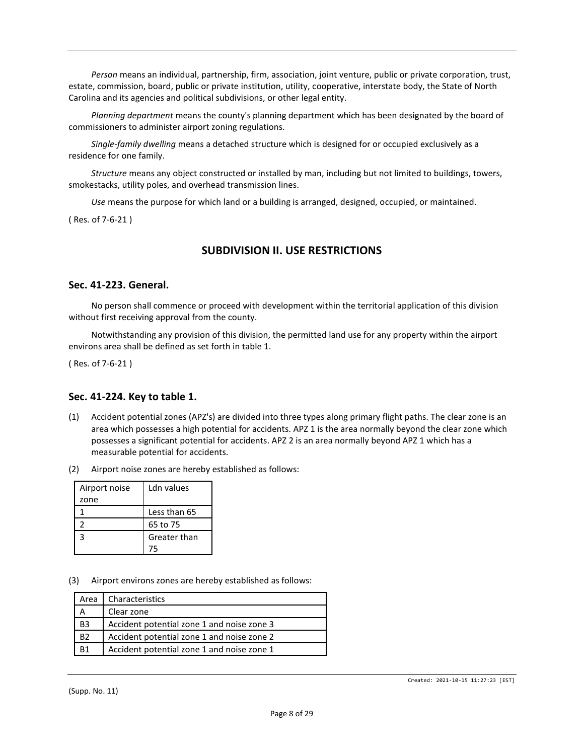*Person* means an individual, partnership, firm, association, joint venture, public or private corporation, trust, estate, commission, board, public or private institution, utility, cooperative, interstate body, the State of North Carolina and its agencies and political subdivisions, or other legal entity.

*Planning department* means the county's planning department which has been designated by the board of commissioners to administer airport zoning regulations.

*Single-family dwelling* means a detached structure which is designed for or occupied exclusively as a residence for one family.

*Structure* means any object constructed or installed by man, including but not limited to buildings, towers, smokestacks, utility poles, and overhead transmission lines.

*Use* means the purpose for which land or a building is arranged, designed, occupied, or maintained.

( Res. of 7-6-21 )

## **SUBDIVISION II. USE RESTRICTIONS**

#### **Sec. 41-223. General.**

No person shall commence or proceed with development within the territorial application of this division without first receiving approval from the county.

Notwithstanding any provision of this division, the permitted land use for any property within the airport environs area shall be defined as set forth in table 1.

( Res. of 7-6-21 )

#### **Sec. 41-224. Key to table 1.**

- (1) Accident potential zones (APZ's) are divided into three types along primary flight paths. The clear zone is an area which possesses a high potential for accidents. APZ 1 is the area normally beyond the clear zone which possesses a significant potential for accidents. APZ 2 is an area normally beyond APZ 1 which has a measurable potential for accidents.
- (2) Airport noise zones are hereby established as follows:

| Airport noise | Ldn values   |
|---------------|--------------|
| zone          |              |
|               | Less than 65 |
|               | 65 to 75     |
| 3             | Greater than |
|               | 75           |

(3) Airport environs zones are hereby established as follows:

| Area           | Characteristics                            |
|----------------|--------------------------------------------|
| А              | Clear zone                                 |
| B <sub>3</sub> | Accident potential zone 1 and noise zone 3 |
| B <sub>2</sub> | Accident potential zone 1 and noise zone 2 |
| R <sub>1</sub> | Accident potential zone 1 and noise zone 1 |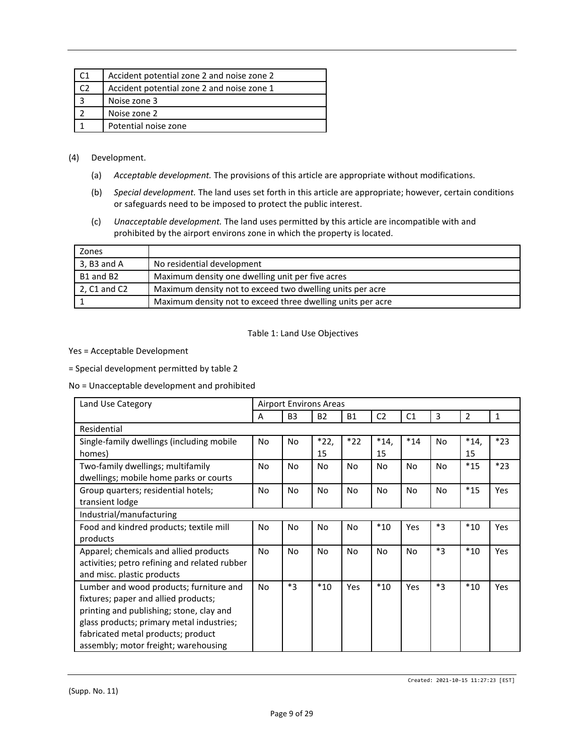| Accident potential zone 2 and noise zone 2 |
|--------------------------------------------|
| Accident potential zone 2 and noise zone 1 |
| Noise zone 3                               |
| Noise zone 2                               |
| Potential noise zone                       |

#### (4) Development.

- (a) *Acceptable development.* The provisions of this article are appropriate without modifications.
- (b) *Special development.* The land uses set forth in this article are appropriate; however, certain conditions or safeguards need to be imposed to protect the public interest.
- (c) *Unacceptable development.* The land uses permitted by this article are incompatible with and prohibited by the airport environs zone in which the property is located.

| Zones         |                                                             |
|---------------|-------------------------------------------------------------|
| $3. B3$ and A | No residential development                                  |
| B1 and B2     | Maximum density one dwelling unit per five acres            |
| 2, C1 and C2  | Maximum density not to exceed two dwelling units per acre   |
|               | Maximum density not to exceed three dwelling units per acre |

#### Table 1: Land Use Objectives

#### Yes = Acceptable Development

= Special development permitted by table 2

No = Unacceptable development and prohibited

| Land Use Category                                                                                                                                                                                                                                      | <b>Airport Environs Areas</b> |                |                |           |                |                |                |              |              |
|--------------------------------------------------------------------------------------------------------------------------------------------------------------------------------------------------------------------------------------------------------|-------------------------------|----------------|----------------|-----------|----------------|----------------|----------------|--------------|--------------|
|                                                                                                                                                                                                                                                        | A                             | B <sub>3</sub> | <b>B2</b>      | <b>B1</b> | C <sub>2</sub> | C <sub>1</sub> | 3              | 2            | $\mathbf{1}$ |
| Residential                                                                                                                                                                                                                                            |                               |                |                |           |                |                |                |              |              |
| Single-family dwellings (including mobile<br>homes)                                                                                                                                                                                                    | <b>No</b>                     | No             | *22,<br>15     | $*22$     | $*14,$<br>15   | $*14$          | <b>No</b>      | $*14,$<br>15 | $*23$        |
| Two-family dwellings; multifamily<br>dwellings; mobile home parks or courts                                                                                                                                                                            | N <sub>o</sub>                | No             | N <sub>o</sub> | No        | No             | No             | N <sub>o</sub> | $*15$        | $*23$        |
| Group quarters; residential hotels;<br>transient lodge                                                                                                                                                                                                 | N <sub>o</sub>                | No             | N <sub>o</sub> | No.       | No             | <b>No</b>      | <b>No</b>      | $*15$        | Yes          |
| Industrial/manufacturing                                                                                                                                                                                                                               |                               |                |                |           |                |                |                |              |              |
| Food and kindred products; textile mill<br>products                                                                                                                                                                                                    | <b>No</b>                     | No             | No.            | No        | $*10$          | Yes            | $*3$           | $*10$        | Yes          |
| Apparel; chemicals and allied products<br>activities; petro refining and related rubber<br>and misc. plastic products                                                                                                                                  | No                            | No             | <b>No</b>      | No.       | <b>No</b>      | No             | $*3$           | $*10$        | <b>Yes</b>   |
| Lumber and wood products; furniture and<br>fixtures; paper and allied products;<br>printing and publishing; stone, clay and<br>glass products; primary metal industries;<br>fabricated metal products; product<br>assembly; motor freight; warehousing | <b>No</b>                     | $*3$           | $*10$          | Yes       | $*10$          | Yes            | $*3$           | $*10$        | <b>Yes</b>   |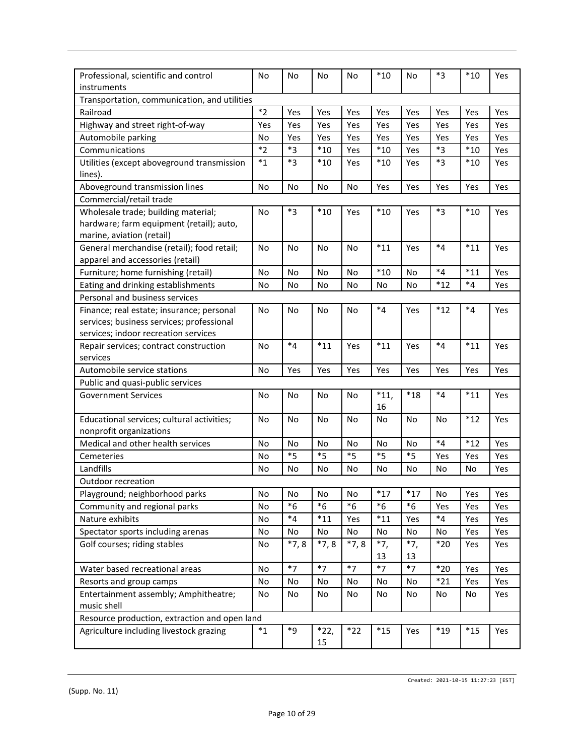| Professional, scientific and control          | No        | No        | No        | No        | $*10$       | No        | *3          | $*10$       | Yes |
|-----------------------------------------------|-----------|-----------|-----------|-----------|-------------|-----------|-------------|-------------|-----|
| instruments                                   |           |           |           |           |             |           |             |             |     |
| Transportation, communication, and utilities  | $*_{2}$   | Yes       |           |           |             |           |             |             |     |
| Railroad                                      |           |           | Yes       | Yes       | Yes         | Yes       | Yes         | Yes         | Yes |
| Highway and street right-of-way               | Yes       | Yes       | Yes       | Yes       | Yes         | Yes       | Yes         | Yes         | Yes |
| Automobile parking                            | No        | Yes       | Yes       | Yes       | Yes         | Yes       | Yes         | Yes         | Yes |
| Communications                                | $*_{2}$   | $*_{3}$   | $*10$     | Yes       | $^{\ast}10$ | Yes       | *3          | $*10$       | Yes |
| Utilities (except aboveground transmission    | $*_{1}$   | *3        | $*10$     | Yes       | $*10$       | Yes       | *3          | $*10$       | Yes |
| lines).                                       |           |           |           |           |             |           |             |             |     |
| Aboveground transmission lines                | No        | No        | No        | No        | Yes         | Yes       | Yes         | Yes         | Yes |
| Commercial/retail trade                       |           |           |           |           |             |           |             |             |     |
| Wholesale trade; building material;           | No        | $*3$      | $*10$     | Yes       | $*10$       | Yes       | *3          | $*10$       | Yes |
| hardware; farm equipment (retail); auto,      |           |           |           |           |             |           |             |             |     |
| marine, aviation (retail)                     |           |           |           |           |             |           |             |             |     |
| General merchandise (retail); food retail;    | <b>No</b> | <b>No</b> | <b>No</b> | No        | $*11$       | Yes       | $*_{4}$     | $*11$       | Yes |
| apparel and accessories (retail)              |           |           |           |           |             |           |             |             |     |
| Furniture; home furnishing (retail)           | No        | No        | No        | No        | $*10$       | No        | $*_{4}$     | $*11$       | Yes |
| Eating and drinking establishments            | No        | No        | No        | No        | No          | No        | $*12$       | $*_{4}$     | Yes |
| Personal and business services                |           |           |           |           |             |           |             |             |     |
| Finance; real estate; insurance; personal     | No        | No        | No        | No        | $*_{4}$     | Yes       | $*12$       | $*_{4}$     | Yes |
| services; business services; professional     |           |           |           |           |             |           |             |             |     |
| services; indoor recreation services          |           |           |           |           |             |           |             |             |     |
| Repair services; contract construction        | No        | $*_{4}$   | $*11$     | Yes       | $*11$       | Yes       | $*_{4}$     | $*11$       | Yes |
| services                                      |           |           |           |           |             |           |             |             |     |
| Automobile service stations                   | No        | Yes       | Yes       | Yes       | Yes         | Yes       | Yes         | Yes         | Yes |
| Public and quasi-public services              |           |           |           |           |             |           |             |             |     |
| <b>Government Services</b>                    | <b>No</b> | No        | <b>No</b> | No        | $*11,$      | $*18$     | $*_{4}$     | $*11$       | Yes |
|                                               |           |           |           |           | 16          |           |             |             |     |
| Educational services; cultural activities;    | <b>No</b> | <b>No</b> | <b>No</b> | <b>No</b> | <b>No</b>   | <b>No</b> | <b>No</b>   | $^{\ast}12$ | Yes |
| nonprofit organizations                       |           |           |           |           |             |           |             |             |     |
| Medical and other health services             | No        | No        | No        | No        | No          | No        | $*_{4}$     | $*12$       | Yes |
| Cemeteries                                    | No        | $*_{5}$   | $*5$      | *5        | $*_{5}$     | $*_{5}$   | Yes         | Yes         | Yes |
| Landfills                                     | No        | No        | No        | No        | No          | No        | No          | No          | Yes |
| Outdoor recreation                            |           |           |           |           |             |           |             |             |     |
| Playground; neighborhood parks                | Νo        | No        | No        | No        | $*17$       | $*17$     | <b>NO</b>   | Yes         | Yes |
| Community and regional parks                  | No        | $*6$      | $*6$      | $*6$      | $*6$        | $*6$      | Yes         | Yes         | Yes |
| Nature exhibits                               | No        | $*_{4}$   | $*11$     | Yes       | $*11$       | Yes       | $*4$        | Yes         | Yes |
| Spectator sports including arenas             | No        | No        | No        | No        | No          | No        | No          | Yes         | Yes |
| Golf courses; riding stables                  | No        | $*7,8$    | $*7,8$    | $*7,8$    | $*7,$       | $*7,$     | $*20$       | Yes         | Yes |
|                                               |           |           |           |           | 13          | 13        |             |             |     |
| Water based recreational areas                | No        | $*7$      | $*7$      | $*7$      | $*7$        | $*7$      | $*20$       | Yes         | Yes |
| Resorts and group camps                       | No        | No        | No        | No        | No          | No        | $*21$       | Yes         | Yes |
| Entertainment assembly; Amphitheatre;         | No        | No        | No        | No        | No          | No        | No          | No          | Yes |
| music shell                                   |           |           |           |           |             |           |             |             |     |
| Resource production, extraction and open land |           |           |           |           |             |           |             |             |     |
| Agriculture including livestock grazing       | $*_{1}$   | $*9$      | $*22,$    | $*22$     | $*15$       | Yes       | $^{\ast}19$ | $*15$       | Yes |
|                                               |           |           | 15        |           |             |           |             |             |     |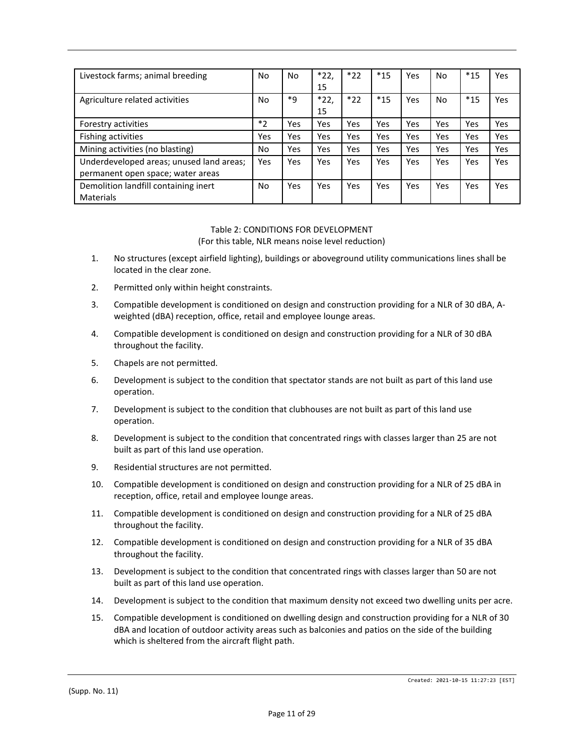| Livestock farms; animal breeding                                              | No      | No  | *22,<br>15   | $*22$ | $*15$ | Yes | No  | $*15$ | Yes        |
|-------------------------------------------------------------------------------|---------|-----|--------------|-------|-------|-----|-----|-------|------------|
| Agriculture related activities                                                | No      | *q  | $*22,$<br>15 | $*22$ | $*15$ | Yes | No  | $*15$ | <b>Yes</b> |
| Forestry activities                                                           | $*_{2}$ | Yes | Yes          | Yes   | Yes   | Yes | Yes | Yes   | Yes        |
| <b>Fishing activities</b>                                                     | Yes     | Yes | Yes          | Yes   | Yes   | Yes | Yes | Yes   | Yes        |
| Mining activities (no blasting)                                               | No      | Yes | Yes          | Yes   | Yes   | Yes | Yes | Yes   | <b>Yes</b> |
| Underdeveloped areas; unused land areas;<br>permanent open space; water areas | Yes     | Yes | Yes          | Yes   | Yes   | Yes | Yes | Yes   | <b>Yes</b> |
| Demolition landfill containing inert<br>Materials                             | No      | Yes | Yes          | Yes   | Yes   | Yes | Yes | Yes   | <b>Yes</b> |

#### Table 2: CONDITIONS FOR DEVELOPMENT (For this table, NLR means noise level reduction)

- 1. No structures (except airfield lighting), buildings or aboveground utility communications lines shall be located in the clear zone.
- 2. Permitted only within height constraints.
- 3. Compatible development is conditioned on design and construction providing for a NLR of 30 dBA, Aweighted (dBA) reception, office, retail and employee lounge areas.
- 4. Compatible development is conditioned on design and construction providing for a NLR of 30 dBA throughout the facility.
- 5. Chapels are not permitted.
- 6. Development is subject to the condition that spectator stands are not built as part of this land use operation.
- 7. Development is subject to the condition that clubhouses are not built as part of this land use operation.
- 8. Development is subject to the condition that concentrated rings with classes larger than 25 are not built as part of this land use operation.
- 9. Residential structures are not permitted.
- 10. Compatible development is conditioned on design and construction providing for a NLR of 25 dBA in reception, office, retail and employee lounge areas.
- 11. Compatible development is conditioned on design and construction providing for a NLR of 25 dBA throughout the facility.
- 12. Compatible development is conditioned on design and construction providing for a NLR of 35 dBA throughout the facility.
- 13. Development is subject to the condition that concentrated rings with classes larger than 50 are not built as part of this land use operation.
- 14. Development is subject to the condition that maximum density not exceed two dwelling units per acre.
- 15. Compatible development is conditioned on dwelling design and construction providing for a NLR of 30 dBA and location of outdoor activity areas such as balconies and patios on the side of the building which is sheltered from the aircraft flight path.

(Supp. No. 11)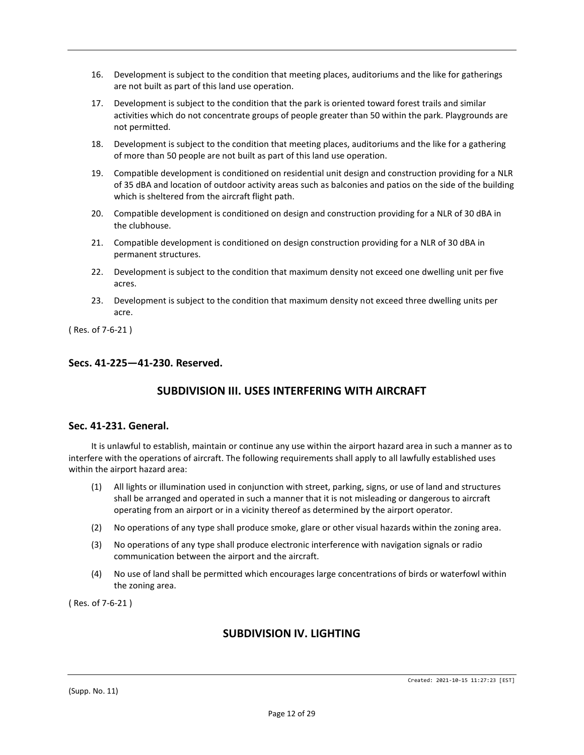- 16. Development is subject to the condition that meeting places, auditoriums and the like for gatherings are not built as part of this land use operation.
- 17. Development is subject to the condition that the park is oriented toward forest trails and similar activities which do not concentrate groups of people greater than 50 within the park. Playgrounds are not permitted.
- 18. Development is subject to the condition that meeting places, auditoriums and the like for a gathering of more than 50 people are not built as part of this land use operation.
- 19. Compatible development is conditioned on residential unit design and construction providing for a NLR of 35 dBA and location of outdoor activity areas such as balconies and patios on the side of the building which is sheltered from the aircraft flight path.
- 20. Compatible development is conditioned on design and construction providing for a NLR of 30 dBA in the clubhouse.
- 21. Compatible development is conditioned on design construction providing for a NLR of 30 dBA in permanent structures.
- 22. Development is subject to the condition that maximum density not exceed one dwelling unit per five acres.
- 23. Development is subject to the condition that maximum density not exceed three dwelling units per acre.

( Res. of 7-6-21 )

#### **Secs. 41-225—41-230. Reserved.**

# **SUBDIVISION III. USES INTERFERING WITH AIRCRAFT**

#### **Sec. 41-231. General.**

It is unlawful to establish, maintain or continue any use within the airport hazard area in such a manner as to interfere with the operations of aircraft. The following requirements shall apply to all lawfully established uses within the airport hazard area:

- (1) All lights or illumination used in conjunction with street, parking, signs, or use of land and structures shall be arranged and operated in such a manner that it is not misleading or dangerous to aircraft operating from an airport or in a vicinity thereof as determined by the airport operator.
- (2) No operations of any type shall produce smoke, glare or other visual hazards within the zoning area.
- (3) No operations of any type shall produce electronic interference with navigation signals or radio communication between the airport and the aircraft.
- (4) No use of land shall be permitted which encourages large concentrations of birds or waterfowl within the zoning area.

( Res. of 7-6-21 )

# **SUBDIVISION IV. LIGHTING**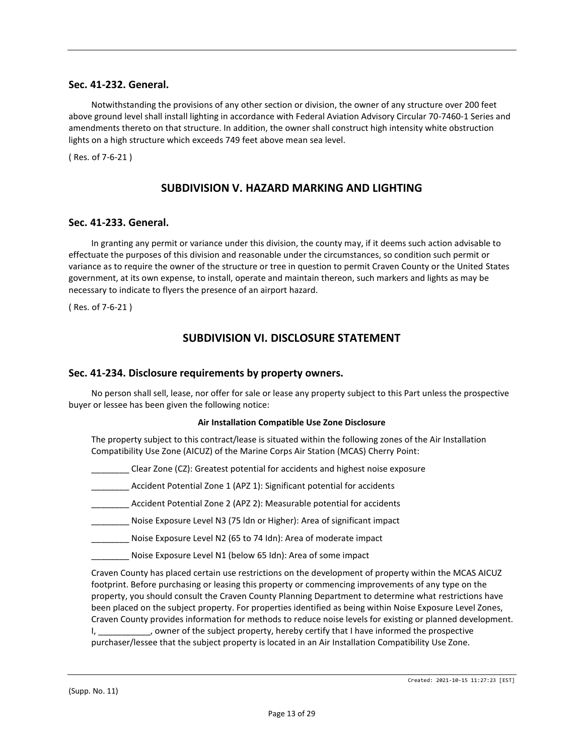## **Sec. 41-232. General.**

Notwithstanding the provisions of any other section or division, the owner of any structure over 200 feet above ground level shall install lighting in accordance with Federal Aviation Advisory Circular 70-7460-1 Series and amendments thereto on that structure. In addition, the owner shall construct high intensity white obstruction lights on a high structure which exceeds 749 feet above mean sea level.

( Res. of 7-6-21 )

# **SUBDIVISION V. HAZARD MARKING AND LIGHTING**

#### **Sec. 41-233. General.**

In granting any permit or variance under this division, the county may, if it deems such action advisable to effectuate the purposes of this division and reasonable under the circumstances, so condition such permit or variance as to require the owner of the structure or tree in question to permit Craven County or the United States government, at its own expense, to install, operate and maintain thereon, such markers and lights as may be necessary to indicate to flyers the presence of an airport hazard.

( Res. of 7-6-21 )

## **SUBDIVISION VI. DISCLOSURE STATEMENT**

#### **Sec. 41-234. Disclosure requirements by property owners.**

No person shall sell, lease, nor offer for sale or lease any property subject to this Part unless the prospective buyer or lessee has been given the following notice:

#### **Air Installation Compatible Use Zone Disclosure**

The property subject to this contract/lease is situated within the following zones of the Air Installation Compatibility Use Zone (AICUZ) of the Marine Corps Air Station (MCAS) Cherry Point:

- \_\_\_\_\_\_\_\_ Clear Zone (CZ): Greatest potential for accidents and highest noise exposure
- \_\_\_\_\_\_\_\_ Accident Potential Zone 1 (APZ 1): Significant potential for accidents
- Accident Potential Zone 2 (APZ 2): Measurable potential for accidents
- \_\_\_\_\_\_\_\_ Noise Exposure Level N3 (75 ldn or Higher): Area of significant impact
- Noise Exposure Level N2 (65 to 74 Idn): Area of moderate impact
- Noise Exposure Level N1 (below 65 Idn): Area of some impact

Craven County has placed certain use restrictions on the development of property within the MCAS AICUZ footprint. Before purchasing or leasing this property or commencing improvements of any type on the property, you should consult the Craven County Planning Department to determine what restrictions have been placed on the subject property. For properties identified as being within Noise Exposure Level Zones, Craven County provides information for methods to reduce noise levels for existing or planned development. I, sowner of the subject property, hereby certify that I have informed the prospective purchaser/lessee that the subject property is located in an Air Installation Compatibility Use Zone.

(Supp. No. 11)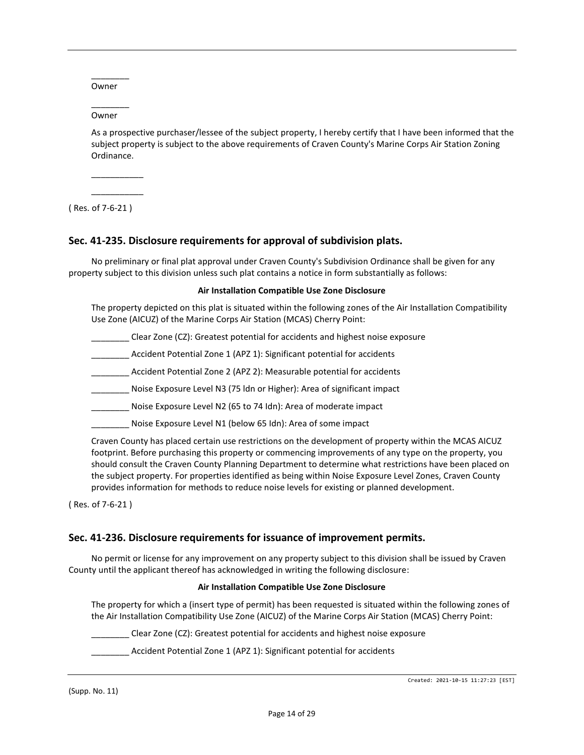\_\_\_\_\_\_\_\_ Owner

\_\_\_\_\_\_\_\_ Owner

As a prospective purchaser/lessee of the subject property, I hereby certify that I have been informed that the subject property is subject to the above requirements of Craven County's Marine Corps Air Station Zoning Ordinance.

\_\_\_\_\_\_\_\_\_\_\_ \_\_\_\_\_\_\_\_\_\_\_

( Res. of 7-6-21 )

#### **Sec. 41-235. Disclosure requirements for approval of subdivision plats.**

No preliminary or final plat approval under Craven County's Subdivision Ordinance shall be given for any property subject to this division unless such plat contains a notice in form substantially as follows:

#### **Air Installation Compatible Use Zone Disclosure**

The property depicted on this plat is situated within the following zones of the Air Installation Compatibility Use Zone (AICUZ) of the Marine Corps Air Station (MCAS) Cherry Point:

- \_\_\_\_\_\_\_\_ Clear Zone (CZ): Greatest potential for accidents and highest noise exposure
- Accident Potential Zone 1 (APZ 1): Significant potential for accidents
- \_\_\_\_\_\_\_\_ Accident Potential Zone 2 (APZ 2): Measurable potential for accidents
- \_\_\_\_\_\_\_\_ Noise Exposure Level N3 (75 ldn or Higher): Area of significant impact
- Noise Exposure Level N2 (65 to 74 Idn): Area of moderate impact
- Noise Exposure Level N1 (below 65 Idn): Area of some impact

Craven County has placed certain use restrictions on the development of property within the MCAS AICUZ footprint. Before purchasing this property or commencing improvements of any type on the property, you should consult the Craven County Planning Department to determine what restrictions have been placed on the subject property. For properties identified as being within Noise Exposure Level Zones, Craven County provides information for methods to reduce noise levels for existing or planned development.

( Res. of 7-6-21 )

#### **Sec. 41-236. Disclosure requirements for issuance of improvement permits.**

No permit or license for any improvement on any property subject to this division shall be issued by Craven County until the applicant thereof has acknowledged in writing the following disclosure:

#### **Air Installation Compatible Use Zone Disclosure**

The property for which a (insert type of permit) has been requested is situated within the following zones of the Air Installation Compatibility Use Zone (AICUZ) of the Marine Corps Air Station (MCAS) Cherry Point:

\_\_\_\_\_\_\_\_ Clear Zone (CZ): Greatest potential for accidents and highest noise exposure

Accident Potential Zone 1 (APZ 1): Significant potential for accidents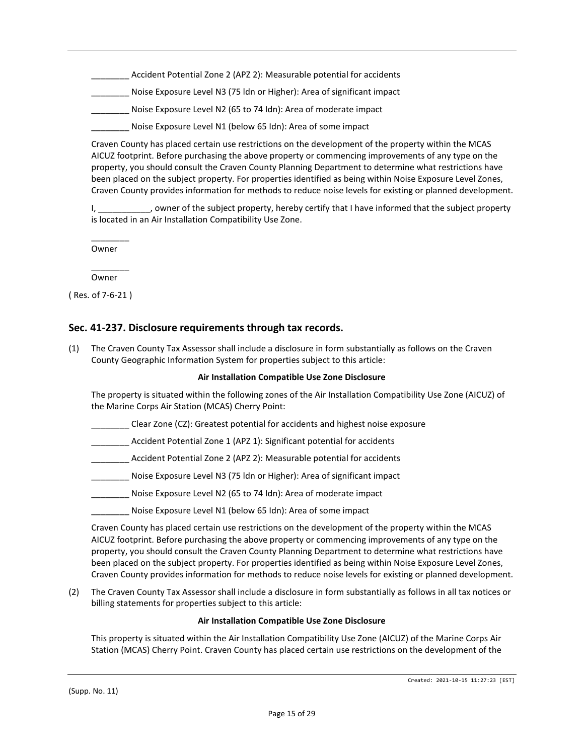Accident Potential Zone 2 (APZ 2): Measurable potential for accidents

\_\_\_\_\_\_\_\_ Noise Exposure Level N3 (75 ldn or Higher): Area of significant impact

\_\_\_\_\_\_\_\_ Noise Exposure Level N2 (65 to 74 Idn): Area of moderate impact

Noise Exposure Level N1 (below 65 Idn): Area of some impact

Craven County has placed certain use restrictions on the development of the property within the MCAS AICUZ footprint. Before purchasing the above property or commencing improvements of any type on the property, you should consult the Craven County Planning Department to determine what restrictions have been placed on the subject property. For properties identified as being within Noise Exposure Level Zones, Craven County provides information for methods to reduce noise levels for existing or planned development.

I, \_\_\_\_\_\_\_\_\_\_\_, owner of the subject property, hereby certify that I have informed that the subject property is located in an Air Installation Compatibility Use Zone.

\_\_\_\_\_\_\_\_ Owner

\_\_\_\_\_\_\_\_ Owner

( Res. of 7-6-21 )

## **Sec. 41-237. Disclosure requirements through tax records.**

(1) The Craven County Tax Assessor shall include a disclosure in form substantially as follows on the Craven County Geographic Information System for properties subject to this article:

#### **Air Installation Compatible Use Zone Disclosure**

The property is situated within the following zones of the Air Installation Compatibility Use Zone (AICUZ) of the Marine Corps Air Station (MCAS) Cherry Point:

\_\_\_\_\_\_\_\_ Clear Zone (CZ): Greatest potential for accidents and highest noise exposure

\_\_\_\_\_\_\_\_ Accident Potential Zone 1 (APZ 1): Significant potential for accidents

\_\_\_\_\_\_\_\_ Accident Potential Zone 2 (APZ 2): Measurable potential for accidents

\_\_\_\_\_\_\_\_ Noise Exposure Level N3 (75 ldn or Higher): Area of significant impact

\_\_\_\_\_\_\_\_ Noise Exposure Level N2 (65 to 74 Idn): Area of moderate impact

Noise Exposure Level N1 (below 65 Idn): Area of some impact

Craven County has placed certain use restrictions on the development of the property within the MCAS AICUZ footprint. Before purchasing the above property or commencing improvements of any type on the property, you should consult the Craven County Planning Department to determine what restrictions have been placed on the subject property. For properties identified as being within Noise Exposure Level Zones, Craven County provides information for methods to reduce noise levels for existing or planned development.

(2) The Craven County Tax Assessor shall include a disclosure in form substantially as follows in all tax notices or billing statements for properties subject to this article:

#### **Air Installation Compatible Use Zone Disclosure**

This property is situated within the Air Installation Compatibility Use Zone (AICUZ) of the Marine Corps Air Station (MCAS) Cherry Point. Craven County has placed certain use restrictions on the development of the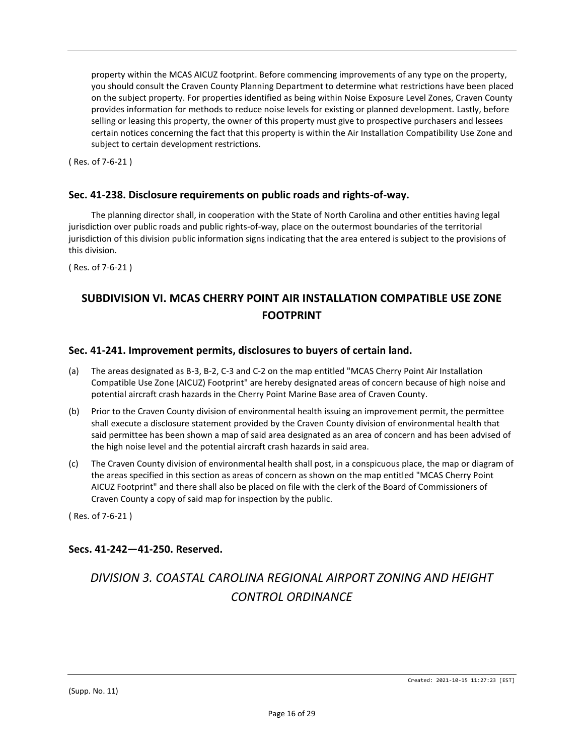property within the MCAS AICUZ footprint. Before commencing improvements of any type on the property, you should consult the Craven County Planning Department to determine what restrictions have been placed on the subject property. For properties identified as being within Noise Exposure Level Zones, Craven County provides information for methods to reduce noise levels for existing or planned development. Lastly, before selling or leasing this property, the owner of this property must give to prospective purchasers and lessees certain notices concerning the fact that this property is within the Air Installation Compatibility Use Zone and subject to certain development restrictions.

( Res. of 7-6-21 )

## **Sec. 41-238. Disclosure requirements on public roads and rights-of-way.**

The planning director shall, in cooperation with the State of North Carolina and other entities having legal jurisdiction over public roads and public rights-of-way, place on the outermost boundaries of the territorial jurisdiction of this division public information signs indicating that the area entered is subject to the provisions of this division.

( Res. of 7-6-21 )

# **SUBDIVISION VI. MCAS CHERRY POINT AIR INSTALLATION COMPATIBLE USE ZONE FOOTPRINT**

## **Sec. 41-241. Improvement permits, disclosures to buyers of certain land.**

- (a) The areas designated as B-3, B-2, C-3 and C-2 on the map entitled "MCAS Cherry Point Air Installation Compatible Use Zone (AICUZ) Footprint" are hereby designated areas of concern because of high noise and potential aircraft crash hazards in the Cherry Point Marine Base area of Craven County.
- (b) Prior to the Craven County division of environmental health issuing an improvement permit, the permittee shall execute a disclosure statement provided by the Craven County division of environmental health that said permittee has been shown a map of said area designated as an area of concern and has been advised of the high noise level and the potential aircraft crash hazards in said area.
- (c) The Craven County division of environmental health shall post, in a conspicuous place, the map or diagram of the areas specified in this section as areas of concern as shown on the map entitled "MCAS Cherry Point AICUZ Footprint" and there shall also be placed on file with the clerk of the Board of Commissioners of Craven County a copy of said map for inspection by the public.

( Res. of 7-6-21 )

## **Secs. 41-242—41-250. Reserved.**

# *DIVISION 3. COASTAL CAROLINA REGIONAL AIRPORT ZONING AND HEIGHT CONTROL ORDINANCE*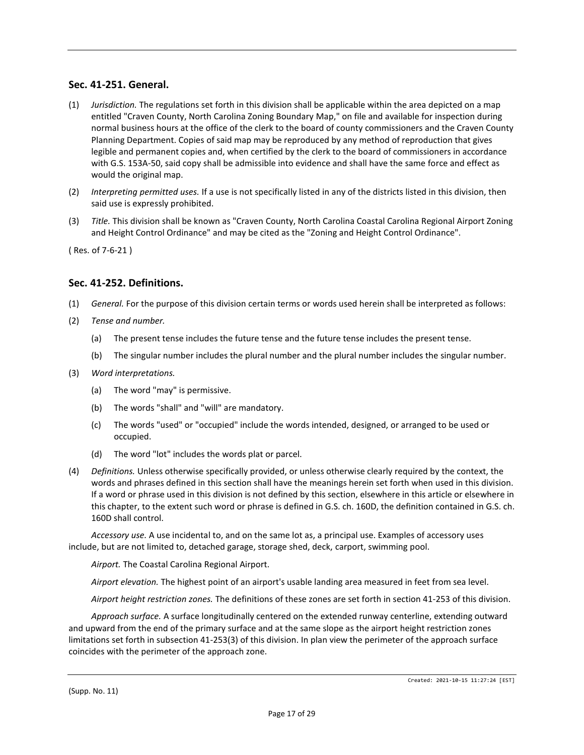## **Sec. 41-251. General.**

- (1) *Jurisdiction.* The regulations set forth in this division shall be applicable within the area depicted on a map entitled "Craven County, North Carolina Zoning Boundary Map," on file and available for inspection during normal business hours at the office of the clerk to the board of county commissioners and the Craven County Planning Department. Copies of said map may be reproduced by any method of reproduction that gives legible and permanent copies and, when certified by the clerk to the board of commissioners in accordance with G.S. 153A-50, said copy shall be admissible into evidence and shall have the same force and effect as would the original map.
- (2) *Interpreting permitted uses.* If a use is not specifically listed in any of the districts listed in this division, then said use is expressly prohibited.
- (3) *Title.* This division shall be known as "Craven County, North Carolina Coastal Carolina Regional Airport Zoning and Height Control Ordinance" and may be cited as the "Zoning and Height Control Ordinance".

( Res. of 7-6-21 )

## **Sec. 41-252. Definitions.**

- (1) *General.* For the purpose of this division certain terms or words used herein shall be interpreted as follows:
- (2) *Tense and number.*
	- (a) The present tense includes the future tense and the future tense includes the present tense.
	- (b) The singular number includes the plural number and the plural number includes the singular number.
- (3) *Word interpretations.*
	- (a) The word "may" is permissive.
	- (b) The words "shall" and "will" are mandatory.
	- (c) The words "used" or "occupied" include the words intended, designed, or arranged to be used or occupied.
	- (d) The word "lot" includes the words plat or parcel.
- (4) *Definitions.* Unless otherwise specifically provided, or unless otherwise clearly required by the context, the words and phrases defined in this section shall have the meanings herein set forth when used in this division. If a word or phrase used in this division is not defined by this section, elsewhere in this article or elsewhere in this chapter, to the extent such word or phrase is defined in G.S. ch. 160D, the definition contained in G.S. ch. 160D shall control.

*Accessory use.* A use incidental to, and on the same lot as, a principal use. Examples of accessory uses include, but are not limited to, detached garage, storage shed, deck, carport, swimming pool.

*Airport.* The Coastal Carolina Regional Airport.

*Airport elevation.* The highest point of an airport's usable landing area measured in feet from sea level.

*Airport height restriction zones.* The definitions of these zones are set forth in section 41-253 of this division.

*Approach surface.* A surface longitudinally centered on the extended runway centerline, extending outward and upward from the end of the primary surface and at the same slope as the airport height restriction zones limitations set forth in subsection 41-253(3) of this division. In plan view the perimeter of the approach surface coincides with the perimeter of the approach zone.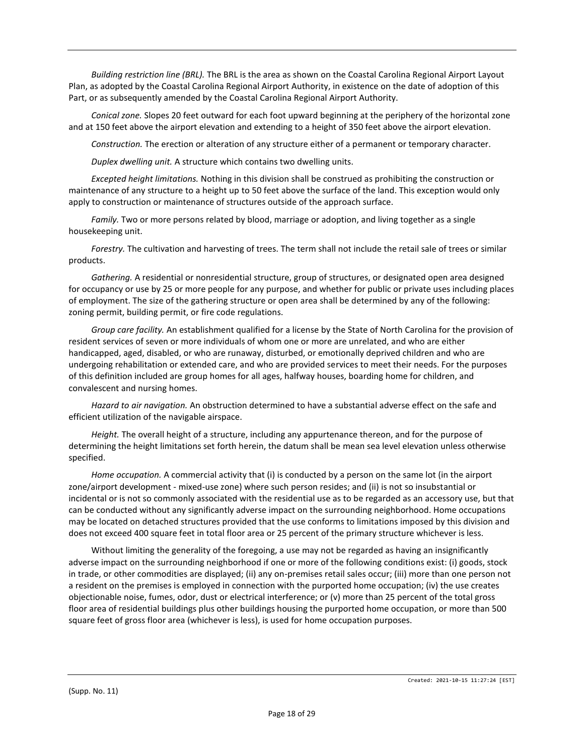*Building restriction line (BRL).* The BRL is the area as shown on the Coastal Carolina Regional Airport Layout Plan, as adopted by the Coastal Carolina Regional Airport Authority, in existence on the date of adoption of this Part, or as subsequently amended by the Coastal Carolina Regional Airport Authority.

*Conical zone.* Slopes 20 feet outward for each foot upward beginning at the periphery of the horizontal zone and at 150 feet above the airport elevation and extending to a height of 350 feet above the airport elevation.

*Construction.* The erection or alteration of any structure either of a permanent or temporary character.

*Duplex dwelling unit.* A structure which contains two dwelling units.

*Excepted height limitations.* Nothing in this division shall be construed as prohibiting the construction or maintenance of any structure to a height up to 50 feet above the surface of the land. This exception would only apply to construction or maintenance of structures outside of the approach surface.

*Family.* Two or more persons related by blood, marriage or adoption, and living together as a single housekeeping unit.

*Forestry.* The cultivation and harvesting of trees. The term shall not include the retail sale of trees or similar products.

*Gathering.* A residential or nonresidential structure, group of structures, or designated open area designed for occupancy or use by 25 or more people for any purpose, and whether for public or private uses including places of employment. The size of the gathering structure or open area shall be determined by any of the following: zoning permit, building permit, or fire code regulations.

*Group care facility.* An establishment qualified for a license by the State of North Carolina for the provision of resident services of seven or more individuals of whom one or more are unrelated, and who are either handicapped, aged, disabled, or who are runaway, disturbed, or emotionally deprived children and who are undergoing rehabilitation or extended care, and who are provided services to meet their needs. For the purposes of this definition included are group homes for all ages, halfway houses, boarding home for children, and convalescent and nursing homes.

*Hazard to air navigation.* An obstruction determined to have a substantial adverse effect on the safe and efficient utilization of the navigable airspace.

*Height.* The overall height of a structure, including any appurtenance thereon, and for the purpose of determining the height limitations set forth herein, the datum shall be mean sea level elevation unless otherwise specified.

*Home occupation.* A commercial activity that (i) is conducted by a person on the same lot (in the airport zone/airport development - mixed-use zone) where such person resides; and (ii) is not so insubstantial or incidental or is not so commonly associated with the residential use as to be regarded as an accessory use, but that can be conducted without any significantly adverse impact on the surrounding neighborhood. Home occupations may be located on detached structures provided that the use conforms to limitations imposed by this division and does not exceed 400 square feet in total floor area or 25 percent of the primary structure whichever is less.

Without limiting the generality of the foregoing, a use may not be regarded as having an insignificantly adverse impact on the surrounding neighborhood if one or more of the following conditions exist: (i) goods, stock in trade, or other commodities are displayed; (ii) any on-premises retail sales occur; (iii) more than one person not a resident on the premises is employed in connection with the purported home occupation; (iv) the use creates objectionable noise, fumes, odor, dust or electrical interference; or (v) more than 25 percent of the total gross floor area of residential buildings plus other buildings housing the purported home occupation, or more than 500 square feet of gross floor area (whichever is less), is used for home occupation purposes.

Created: 2021-10-15 11:27:24 [EST]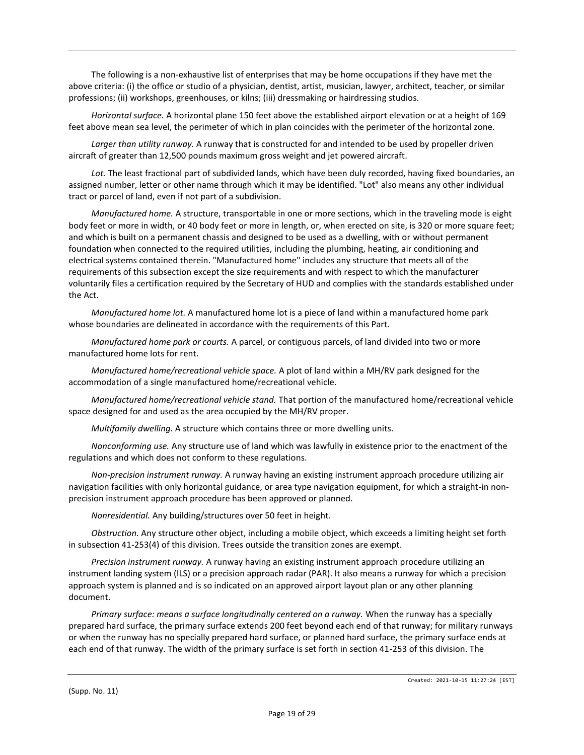The following is a non-exhaustive list of enterprises that may be home occupations if they have met the above criteria: (i) the office or studio of a physician, dentist, artist, musician, lawyer, architect, teacher, or similar professions; (ii) workshops, greenhouses, or kilns; (iii) dressmaking or hairdressing studios.

*Horizontal surface.* A horizontal plane 150 feet above the established airport elevation or at a height of 169 feet above mean sea level, the perimeter of which in plan coincides with the perimeter of the horizontal zone.

*Larger than utility runway.* A runway that is constructed for and intended to be used by propeller driven aircraft of greater than 12,500 pounds maximum gross weight and jet powered aircraft.

*Lot.* The least fractional part of subdivided lands, which have been duly recorded, having fixed boundaries, an assigned number, letter or other name through which it may be identified. "Lot" also means any other individual tract or parcel of land, even if not part of a subdivision.

*Manufactured home.* A structure, transportable in one or more sections, which in the traveling mode is eight body feet or more in width, or 40 body feet or more in length, or, when erected on site, is 320 or more square feet; and which is built on a permanent chassis and designed to be used as a dwelling, with or without permanent foundation when connected to the required utilities, including the plumbing, heating, air conditioning and electrical systems contained therein. "Manufactured home" includes any structure that meets all of the requirements of this subsection except the size requirements and with respect to which the manufacturer voluntarily files a certification required by the Secretary of HUD and complies with the standards established under the Act.

*Manufactured home lot.* A manufactured home lot is a piece of land within a manufactured home park whose boundaries are delineated in accordance with the requirements of this Part.

*Manufactured home park or courts.* A parcel, or contiguous parcels, of land divided into two or more manufactured home lots for rent.

*Manufactured home/recreational vehicle space.* A plot of land within a MH/RV park designed for the accommodation of a single manufactured home/recreational vehicle.

*Manufactured home/recreational vehicle stand.* That portion of the manufactured home/recreational vehicle space designed for and used as the area occupied by the MH/RV proper.

*Multifamily dwelling.* A structure which contains three or more dwelling units.

*Nonconforming use.* Any structure use of land which was lawfully in existence prior to the enactment of the regulations and which does not conform to these regulations.

*Non-precision instrument runway.* A runway having an existing instrument approach procedure utilizing air navigation facilities with only horizontal guidance, or area type navigation equipment, for which a straight-in nonprecision instrument approach procedure has been approved or planned.

*Nonresidential.* Any building/structures over 50 feet in height.

*Obstruction.* Any structure other object, including a mobile object, which exceeds a limiting height set forth in subsection 41-253(4) of this division. Trees outside the transition zones are exempt.

*Precision instrument runway.* A runway having an existing instrument approach procedure utilizing an instrument landing system (ILS) or a precision approach radar (PAR). It also means a runway for which a precision approach system is planned and is so indicated on an approved airport layout plan or any other planning document.

*Primary surface: means a surface longitudinally centered on a runway.* When the runway has a specially prepared hard surface, the primary surface extends 200 feet beyond each end of that runway; for military runways or when the runway has no specially prepared hard surface, or planned hard surface, the primary surface ends at each end of that runway. The width of the primary surface is set forth in section 41-253 of this division. The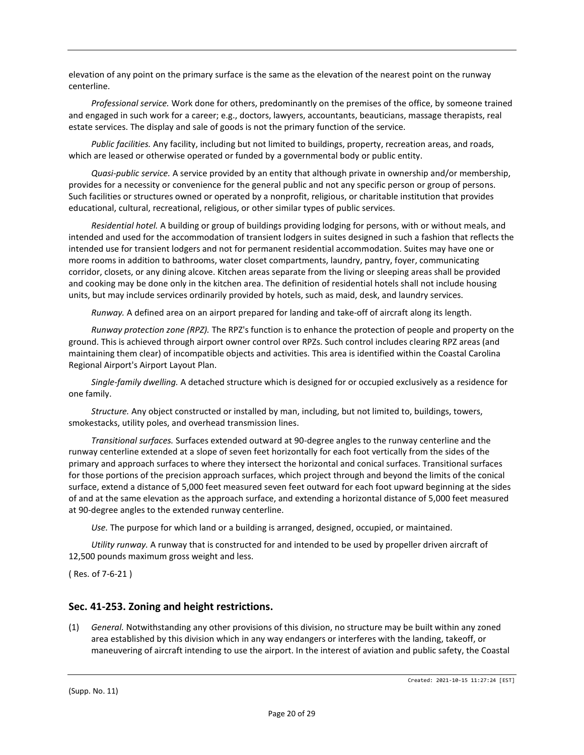elevation of any point on the primary surface is the same as the elevation of the nearest point on the runway centerline.

*Professional service.* Work done for others, predominantly on the premises of the office, by someone trained and engaged in such work for a career; e.g., doctors, lawyers, accountants, beauticians, massage therapists, real estate services. The display and sale of goods is not the primary function of the service.

*Public facilities.* Any facility, including but not limited to buildings, property, recreation areas, and roads, which are leased or otherwise operated or funded by a governmental body or public entity.

*Quasi-public service.* A service provided by an entity that although private in ownership and/or membership, provides for a necessity or convenience for the general public and not any specific person or group of persons. Such facilities or structures owned or operated by a nonprofit, religious, or charitable institution that provides educational, cultural, recreational, religious, or other similar types of public services.

*Residential hotel.* A building or group of buildings providing lodging for persons, with or without meals, and intended and used for the accommodation of transient lodgers in suites designed in such a fashion that reflects the intended use for transient lodgers and not for permanent residential accommodation. Suites may have one or more rooms in addition to bathrooms, water closet compartments, laundry, pantry, foyer, communicating corridor, closets, or any dining alcove. Kitchen areas separate from the living or sleeping areas shall be provided and cooking may be done only in the kitchen area. The definition of residential hotels shall not include housing units, but may include services ordinarily provided by hotels, such as maid, desk, and laundry services.

*Runway.* A defined area on an airport prepared for landing and take-off of aircraft along its length.

*Runway protection zone (RPZ).* The RPZ's function is to enhance the protection of people and property on the ground. This is achieved through airport owner control over RPZs. Such control includes clearing RPZ areas (and maintaining them clear) of incompatible objects and activities. This area is identified within the Coastal Carolina Regional Airport's Airport Layout Plan.

*Single-family dwelling.* A detached structure which is designed for or occupied exclusively as a residence for one family.

*Structure.* Any object constructed or installed by man, including, but not limited to, buildings, towers, smokestacks, utility poles, and overhead transmission lines.

*Transitional surfaces.* Surfaces extended outward at 90-degree angles to the runway centerline and the runway centerline extended at a slope of seven feet horizontally for each foot vertically from the sides of the primary and approach surfaces to where they intersect the horizontal and conical surfaces. Transitional surfaces for those portions of the precision approach surfaces, which project through and beyond the limits of the conical surface, extend a distance of 5,000 feet measured seven feet outward for each foot upward beginning at the sides of and at the same elevation as the approach surface, and extending a horizontal distance of 5,000 feet measured at 90-degree angles to the extended runway centerline.

*Use.* The purpose for which land or a building is arranged, designed, occupied, or maintained.

*Utility runway.* A runway that is constructed for and intended to be used by propeller driven aircraft of 12,500 pounds maximum gross weight and less.

( Res. of 7-6-21 )

## **Sec. 41-253. Zoning and height restrictions.**

(1) *General.* Notwithstanding any other provisions of this division, no structure may be built within any zoned area established by this division which in any way endangers or interferes with the landing, takeoff, or maneuvering of aircraft intending to use the airport. In the interest of aviation and public safety, the Coastal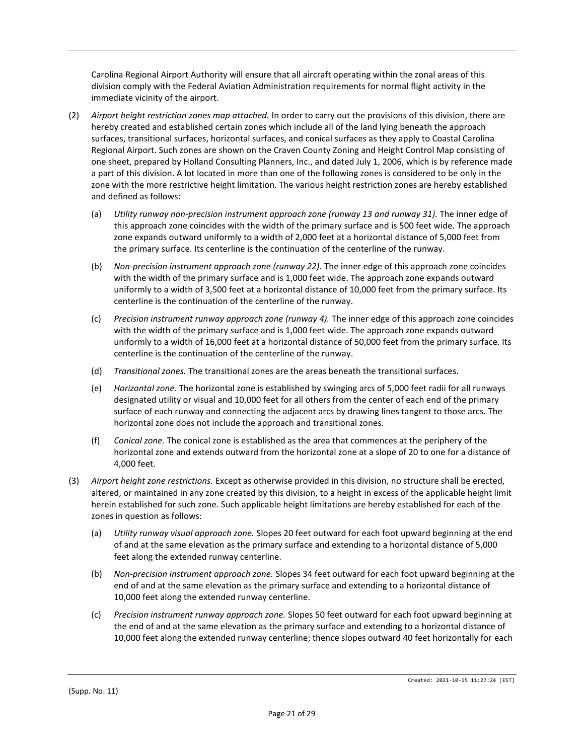Carolina Regional Airport Authority will ensure that all aircraft operating within the zonal areas of this division comply with the Federal Aviation Administration requirements for normal flight activity in the immediate vicinity of the airport.

- (2) *Airport height restriction zones map attached.* In order to carry out the provisions of this division, there are hereby created and established certain zones which include all of the land lying beneath the approach surfaces, transitional surfaces, horizontal surfaces, and conical surfaces as they apply to Coastal Carolina Regional Airport. Such zones are shown on the Craven County Zoning and Height Control Map consisting of one sheet, prepared by Holland Consulting Planners, Inc., and dated July 1, 2006, which is by reference made a part of this division. A lot located in more than one of the following zones is considered to be only in the zone with the more restrictive height limitation. The various height restriction zones are hereby established and defined as follows:
	- (a) *Utility runway non-precision instrument approach zone (runway 13 and runway 31).* The inner edge of this approach zone coincides with the width of the primary surface and is 500 feet wide. The approach zone expands outward uniformly to a width of 2,000 feet at a horizontal distance of 5,000 feet from the primary surface. Its centerline is the continuation of the centerline of the runway.
	- (b) *Non-precision instrument approach zone (runway 22).* The inner edge of this approach zone coincides with the width of the primary surface and is 1,000 feet wide. The approach zone expands outward uniformly to a width of 3,500 feet at a horizontal distance of 10,000 feet from the primary surface. Its centerline is the continuation of the centerline of the runway.
	- (c) *Precision instrument runway approach zone (runway 4).* The inner edge of this approach zone coincides with the width of the primary surface and is 1,000 feet wide. The approach zone expands outward uniformly to a width of 16,000 feet at a horizontal distance of 50,000 feet from the primary surface. Its centerline is the continuation of the centerline of the runway.
	- (d) *Transitional zones.* The transitional zones are the areas beneath the transitional surfaces.
	- (e) *Horizontal zone.* The horizontal zone is established by swinging arcs of 5,000 feet radii for all runways designated utility or visual and 10,000 feet for all others from the center of each end of the primary surface of each runway and connecting the adjacent arcs by drawing lines tangent to those arcs. The horizontal zone does not include the approach and transitional zones.
	- (f) *Conical zone.* The conical zone is established as the area that commences at the periphery of the horizontal zone and extends outward from the horizontal zone at a slope of 20 to one for a distance of 4,000 feet.
- (3) *Airport height zone restrictions.* Except as otherwise provided in this division, no structure shall be erected, altered, or maintained in any zone created by this division, to a height in excess of the applicable height limit herein established for such zone. Such applicable height limitations are hereby established for each of the zones in question as follows:
	- (a) *Utility runway visual approach zone.* Slopes 20 feet outward for each foot upward beginning at the end of and at the same elevation as the primary surface and extending to a horizontal distance of 5,000 feet along the extended runway centerline.
	- (b) *Non-precision instrument approach zone.* Slopes 34 feet outward for each foot upward beginning at the end of and at the same elevation as the primary surface and extending to a horizontal distance of 10,000 feet along the extended runway centerline.
	- (c) *Precision instrument runway approach zone.* Slopes 50 feet outward for each foot upward beginning at the end of and at the same elevation as the primary surface and extending to a horizontal distance of 10,000 feet along the extended runway centerline; thence slopes outward 40 feet horizontally for each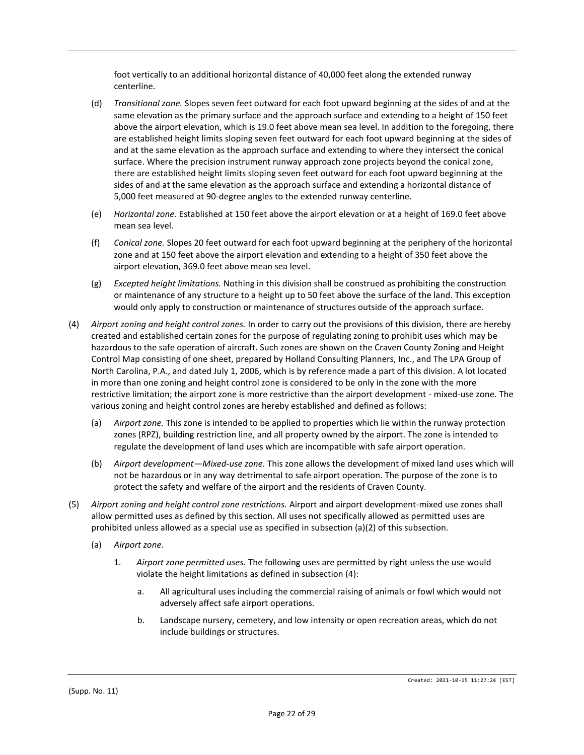foot vertically to an additional horizontal distance of 40,000 feet along the extended runway centerline.

- (d) *Transitional zone.* Slopes seven feet outward for each foot upward beginning at the sides of and at the same elevation as the primary surface and the approach surface and extending to a height of 150 feet above the airport elevation, which is 19.0 feet above mean sea level. In addition to the foregoing, there are established height limits sloping seven feet outward for each foot upward beginning at the sides of and at the same elevation as the approach surface and extending to where they intersect the conical surface. Where the precision instrument runway approach zone projects beyond the conical zone, there are established height limits sloping seven feet outward for each foot upward beginning at the sides of and at the same elevation as the approach surface and extending a horizontal distance of 5,000 feet measured at 90-degree angles to the extended runway centerline.
- (e) *Horizontal zone.* Established at 150 feet above the airport elevation or at a height of 169.0 feet above mean sea level.
- (f) *Conical zone.* Slopes 20 feet outward for each foot upward beginning at the periphery of the horizontal zone and at 150 feet above the airport elevation and extending to a height of 350 feet above the airport elevation, 369.0 feet above mean sea level.
- (g) *Excepted height limitations.* Nothing in this division shall be construed as prohibiting the construction or maintenance of any structure to a height up to 50 feet above the surface of the land. This exception would only apply to construction or maintenance of structures outside of the approach surface.
- (4) *Airport zoning and height control zones.* In order to carry out the provisions of this division, there are hereby created and established certain zones for the purpose of regulating zoning to prohibit uses which may be hazardous to the safe operation of aircraft. Such zones are shown on the Craven County Zoning and Height Control Map consisting of one sheet, prepared by Holland Consulting Planners, Inc., and The LPA Group of North Carolina, P.A., and dated July 1, 2006, which is by reference made a part of this division. A lot located in more than one zoning and height control zone is considered to be only in the zone with the more restrictive limitation; the airport zone is more restrictive than the airport development - mixed-use zone. The various zoning and height control zones are hereby established and defined as follows:
	- (a) *Airport zone.* This zone is intended to be applied to properties which lie within the runway protection zones (RPZ), building restriction line, and all property owned by the airport. The zone is intended to regulate the development of land uses which are incompatible with safe airport operation.
	- (b) *Airport development—Mixed-use zone.* This zone allows the development of mixed land uses which will not be hazardous or in any way detrimental to safe airport operation. The purpose of the zone is to protect the safety and welfare of the airport and the residents of Craven County.
- (5) *Airport zoning and height control zone restrictions.* Airport and airport development-mixed use zones shall allow permitted uses as defined by this section. All uses not specifically allowed as permitted uses are prohibited unless allowed as a special use as specified in subsection (a)(2) of this subsection.
	- (a) *Airport zone.*
		- 1. *Airport zone permitted uses.* The following uses are permitted by right unless the use would violate the height limitations as defined in subsection (4):
			- a. All agricultural uses including the commercial raising of animals or fowl which would not adversely affect safe airport operations.
			- b. Landscape nursery, cemetery, and low intensity or open recreation areas, which do not include buildings or structures.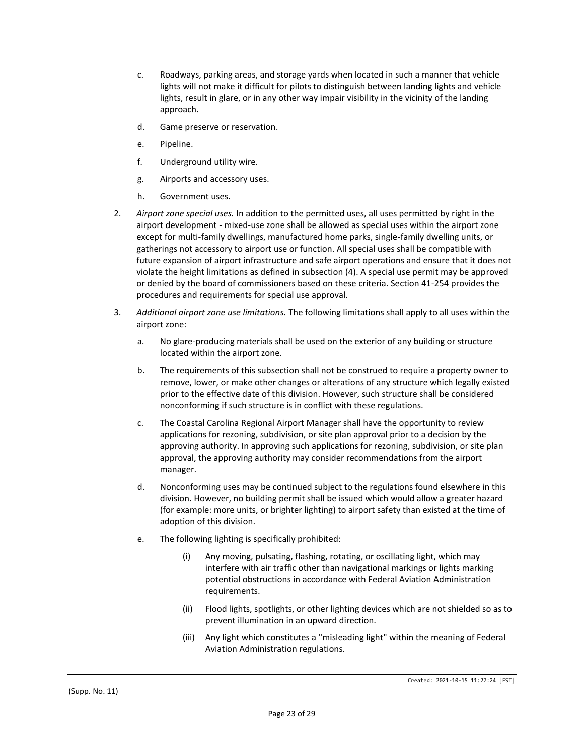- c. Roadways, parking areas, and storage yards when located in such a manner that vehicle lights will not make it difficult for pilots to distinguish between landing lights and vehicle lights, result in glare, or in any other way impair visibility in the vicinity of the landing approach.
- d. Game preserve or reservation.
- e. Pipeline.
- f. Underground utility wire.
- g. Airports and accessory uses.
- h. Government uses.
- 2. *Airport zone special uses.* In addition to the permitted uses, all uses permitted by right in the airport development - mixed-use zone shall be allowed as special uses within the airport zone except for multi-family dwellings, manufactured home parks, single-family dwelling units, or gatherings not accessory to airport use or function. All special uses shall be compatible with future expansion of airport infrastructure and safe airport operations and ensure that it does not violate the height limitations as defined in subsection (4). A special use permit may be approved or denied by the board of commissioners based on these criteria. Section 41-254 provides the procedures and requirements for special use approval.
- 3. *Additional airport zone use limitations.* The following limitations shall apply to all uses within the airport zone:
	- a. No glare-producing materials shall be used on the exterior of any building or structure located within the airport zone.
	- b. The requirements of this subsection shall not be construed to require a property owner to remove, lower, or make other changes or alterations of any structure which legally existed prior to the effective date of this division. However, such structure shall be considered nonconforming if such structure is in conflict with these regulations.
	- c. The Coastal Carolina Regional Airport Manager shall have the opportunity to review applications for rezoning, subdivision, or site plan approval prior to a decision by the approving authority. In approving such applications for rezoning, subdivision, or site plan approval, the approving authority may consider recommendations from the airport manager.
	- d. Nonconforming uses may be continued subject to the regulations found elsewhere in this division. However, no building permit shall be issued which would allow a greater hazard (for example: more units, or brighter lighting) to airport safety than existed at the time of adoption of this division.
	- e. The following lighting is specifically prohibited:
		- (i) Any moving, pulsating, flashing, rotating, or oscillating light, which may interfere with air traffic other than navigational markings or lights marking potential obstructions in accordance with Federal Aviation Administration requirements.
		- (ii) Flood lights, spotlights, or other lighting devices which are not shielded so as to prevent illumination in an upward direction.
		- (iii) Any light which constitutes a "misleading light" within the meaning of Federal Aviation Administration regulations.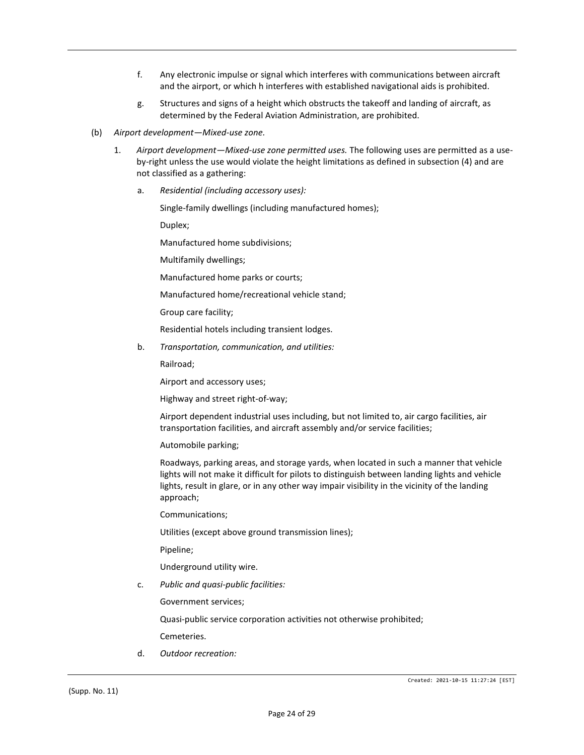- f. Any electronic impulse or signal which interferes with communications between aircraft and the airport, or which h interferes with established navigational aids is prohibited.
- g. Structures and signs of a height which obstructs the takeoff and landing of aircraft, as determined by the Federal Aviation Administration, are prohibited.
- (b) *Airport development—Mixed-use zone.*
	- 1. *Airport development—Mixed-use zone permitted uses.* The following uses are permitted as a useby-right unless the use would violate the height limitations as defined in subsection (4) and are not classified as a gathering:
		- a. *Residential (including accessory uses):*

Single-family dwellings (including manufactured homes);

Duplex;

Manufactured home subdivisions;

Multifamily dwellings;

Manufactured home parks or courts;

Manufactured home/recreational vehicle stand;

Group care facility;

Residential hotels including transient lodges.

b. *Transportation, communication, and utilities:*

Railroad;

Airport and accessory uses;

Highway and street right-of-way;

Airport dependent industrial uses including, but not limited to, air cargo facilities, air transportation facilities, and aircraft assembly and/or service facilities;

Automobile parking;

Roadways, parking areas, and storage yards, when located in such a manner that vehicle lights will not make it difficult for pilots to distinguish between landing lights and vehicle lights, result in glare, or in any other way impair visibility in the vicinity of the landing approach;

Communications;

Utilities (except above ground transmission lines);

Pipeline;

Underground utility wire.

c. *Public and quasi-public facilities:*

Government services;

Quasi-public service corporation activities not otherwise prohibited;

Cemeteries.

d. *Outdoor recreation:*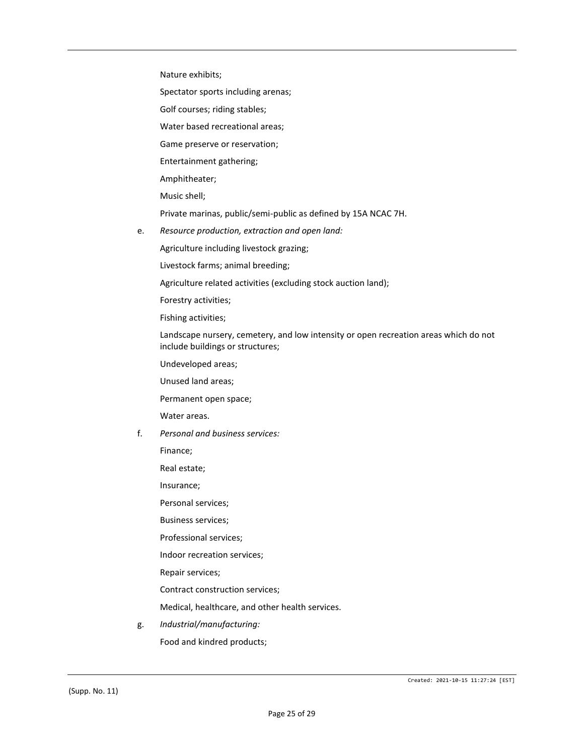Nature exhibits;

Spectator sports including arenas;

Golf courses; riding stables;

Water based recreational areas;

Game preserve or reservation;

Entertainment gathering;

Amphitheater;

Music shell;

Private marinas, public/semi-public as defined by 15A NCAC 7H.

e. *Resource production, extraction and open land:*

Agriculture including livestock grazing;

Livestock farms; animal breeding;

Agriculture related activities (excluding stock auction land);

Forestry activities;

Fishing activities;

Landscape nursery, cemetery, and low intensity or open recreation areas which do not include buildings or structures;

Undeveloped areas;

Unused land areas;

Permanent open space;

Water areas.

f. *Personal and business services:*

Finance;

Real estate;

Insurance;

Personal services;

Business services;

Professional services;

Indoor recreation services;

Repair services;

Contract construction services;

Medical, healthcare, and other health services.

g. *Industrial/manufacturing:* Food and kindred products;

(Supp. No. 11)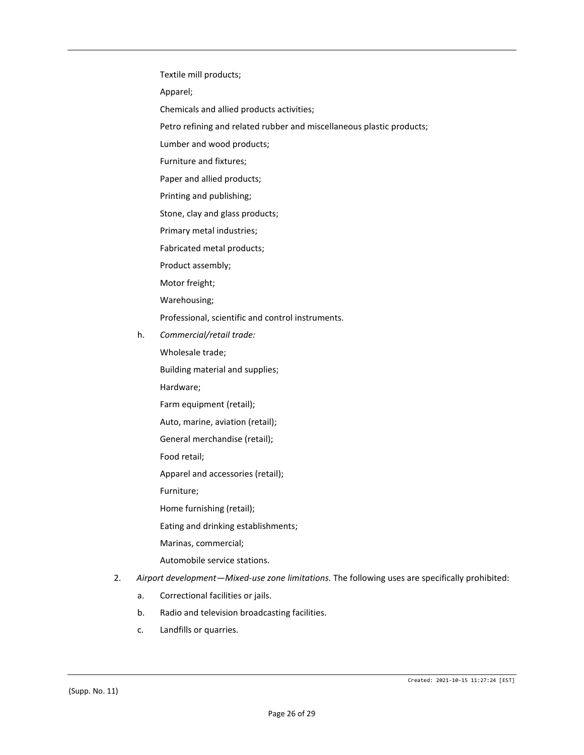Textile mill products;

Apparel;

- Chemicals and allied products activities;
- Petro refining and related rubber and miscellaneous plastic products;
- Lumber and wood products;
- Furniture and fixtures;
- Paper and allied products;
- Printing and publishing;
- Stone, clay and glass products;
- Primary metal industries;
- Fabricated metal products;
- Product assembly;
- Motor freight;
- Warehousing;
- Professional, scientific and control instruments.
- h. *Commercial/retail trade:*
	- Wholesale trade;
	- Building material and supplies;
	- Hardware;
	- Farm equipment (retail);
	- Auto, marine, aviation (retail);
	- General merchandise (retail);
	- Food retail;
	- Apparel and accessories (retail);
	- Furniture;
	- Home furnishing (retail);
	- Eating and drinking establishments;
	- Marinas, commercial;
	- Automobile service stations.
- 2. *Airport development—Mixed-use zone limitations.* The following uses are specifically prohibited:
	- a. Correctional facilities or jails.
	- b. Radio and television broadcasting facilities.
	- c. Landfills or quarries.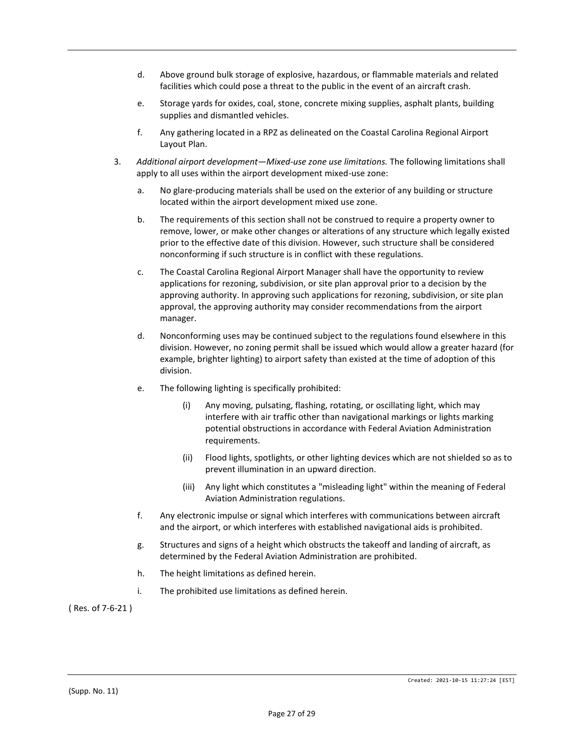- d. Above ground bulk storage of explosive, hazardous, or flammable materials and related facilities which could pose a threat to the public in the event of an aircraft crash.
- e. Storage yards for oxides, coal, stone, concrete mixing supplies, asphalt plants, building supplies and dismantled vehicles.
- f. Any gathering located in a RPZ as delineated on the Coastal Carolina Regional Airport Layout Plan.
- 3. *Additional airport development—Mixed-use zone use limitations.* The following limitations shall apply to all uses within the airport development mixed-use zone:
	- a. No glare-producing materials shall be used on the exterior of any building or structure located within the airport development mixed use zone.
	- b. The requirements of this section shall not be construed to require a property owner to remove, lower, or make other changes or alterations of any structure which legally existed prior to the effective date of this division. However, such structure shall be considered nonconforming if such structure is in conflict with these regulations.
	- c. The Coastal Carolina Regional Airport Manager shall have the opportunity to review applications for rezoning, subdivision, or site plan approval prior to a decision by the approving authority. In approving such applications for rezoning, subdivision, or site plan approval, the approving authority may consider recommendations from the airport manager.
	- d. Nonconforming uses may be continued subject to the regulations found elsewhere in this division. However, no zoning permit shall be issued which would allow a greater hazard (for example, brighter lighting) to airport safety than existed at the time of adoption of this division.
	- e. The following lighting is specifically prohibited:
		- (i) Any moving, pulsating, flashing, rotating, or oscillating light, which may interfere with air traffic other than navigational markings or lights marking potential obstructions in accordance with Federal Aviation Administration requirements.
		- (ii) Flood lights, spotlights, or other lighting devices which are not shielded so as to prevent illumination in an upward direction.
		- (iii) Any light which constitutes a "misleading light" within the meaning of Federal Aviation Administration regulations.
	- f. Any electronic impulse or signal which interferes with communications between aircraft and the airport, or which interferes with established navigational aids is prohibited.
	- g. Structures and signs of a height which obstructs the takeoff and landing of aircraft, as determined by the Federal Aviation Administration are prohibited.
	- h. The height limitations as defined herein.
	- i. The prohibited use limitations as defined herein.

( Res. of 7-6-21 )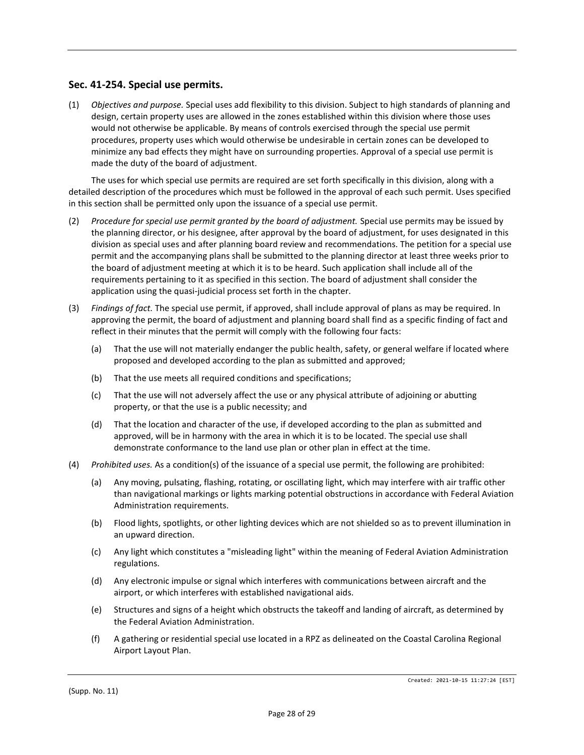## **Sec. 41-254. Special use permits.**

(1) *Objectives and purpose.* Special uses add flexibility to this division. Subject to high standards of planning and design, certain property uses are allowed in the zones established within this division where those uses would not otherwise be applicable. By means of controls exercised through the special use permit procedures, property uses which would otherwise be undesirable in certain zones can be developed to minimize any bad effects they might have on surrounding properties. Approval of a special use permit is made the duty of the board of adjustment.

The uses for which special use permits are required are set forth specifically in this division, along with a detailed description of the procedures which must be followed in the approval of each such permit. Uses specified in this section shall be permitted only upon the issuance of a special use permit.

- (2) *Procedure for special use permit granted by the board of adjustment.* Special use permits may be issued by the planning director, or his designee, after approval by the board of adjustment, for uses designated in this division as special uses and after planning board review and recommendations. The petition for a special use permit and the accompanying plans shall be submitted to the planning director at least three weeks prior to the board of adjustment meeting at which it is to be heard. Such application shall include all of the requirements pertaining to it as specified in this section. The board of adjustment shall consider the application using the quasi-judicial process set forth in the chapter.
- (3) *Findings of fact.* The special use permit, if approved, shall include approval of plans as may be required. In approving the permit, the board of adjustment and planning board shall find as a specific finding of fact and reflect in their minutes that the permit will comply with the following four facts:
	- (a) That the use will not materially endanger the public health, safety, or general welfare if located where proposed and developed according to the plan as submitted and approved;
	- (b) That the use meets all required conditions and specifications;
	- (c) That the use will not adversely affect the use or any physical attribute of adjoining or abutting property, or that the use is a public necessity; and
	- (d) That the location and character of the use, if developed according to the plan as submitted and approved, will be in harmony with the area in which it is to be located. The special use shall demonstrate conformance to the land use plan or other plan in effect at the time.
- (4) *Prohibited uses.* As a condition(s) of the issuance of a special use permit, the following are prohibited:
	- (a) Any moving, pulsating, flashing, rotating, or oscillating light, which may interfere with air traffic other than navigational markings or lights marking potential obstructions in accordance with Federal Aviation Administration requirements.
	- (b) Flood lights, spotlights, or other lighting devices which are not shielded so as to prevent illumination in an upward direction.
	- (c) Any light which constitutes a "misleading light" within the meaning of Federal Aviation Administration regulations.
	- (d) Any electronic impulse or signal which interferes with communications between aircraft and the airport, or which interferes with established navigational aids.
	- (e) Structures and signs of a height which obstructs the takeoff and landing of aircraft, as determined by the Federal Aviation Administration.
	- (f) A gathering or residential special use located in a RPZ as delineated on the Coastal Carolina Regional Airport Layout Plan.

(Supp. No. 11)